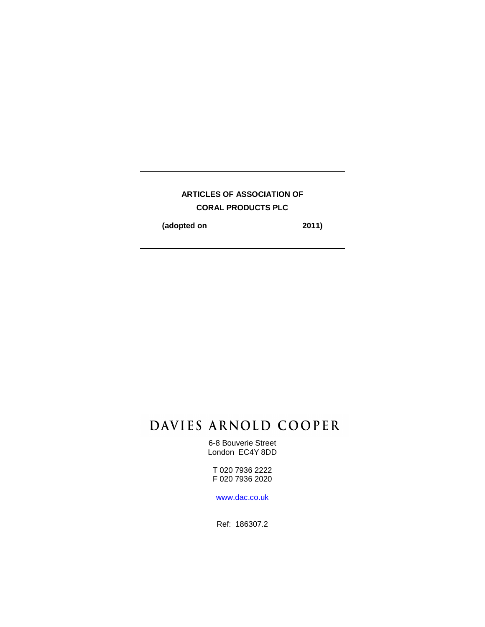# **ARTICLES OF ASSOCIATION OF CORAL PRODUCTS PLC**

**(adopted on 2011)** 

# DAVIES ARNOLD COOPER

6-8 Bouverie Street London EC4Y 8DD

T 020 7936 2222 F 020 7936 2020

www.dac.co.uk

Ref: 186307.2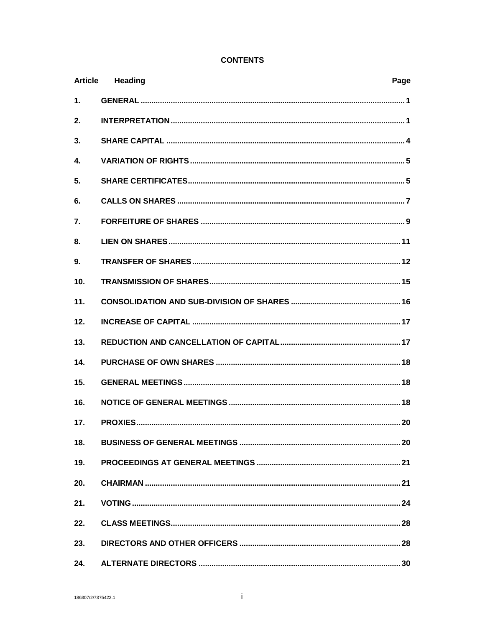# **CONTENTS**

| <b>Article</b>  | <b>Heading</b><br>Page |
|-----------------|------------------------|
| 1.              |                        |
| 2.              |                        |
| 3.              |                        |
| 4.              |                        |
| 5.              |                        |
| 6.              |                        |
| 7.              |                        |
| 8.              |                        |
| 9.              |                        |
| 10 <sub>1</sub> |                        |
| 11.             |                        |
| 12.             |                        |
| 13.             |                        |
| 14.             |                        |
| 15.             |                        |
| 16.             |                        |
| 17.             |                        |
| 18.             |                        |
| 19.             |                        |
| 20.             |                        |
| 21.             |                        |
| 22.             |                        |
| 23.             |                        |
| 24.             |                        |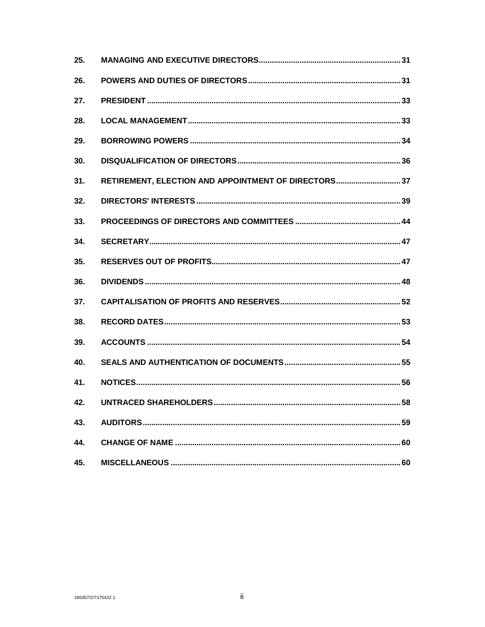| 25. |                                                     |  |
|-----|-----------------------------------------------------|--|
| 26. |                                                     |  |
| 27. |                                                     |  |
| 28. |                                                     |  |
| 29. |                                                     |  |
| 30. |                                                     |  |
| 31. | RETIREMENT, ELECTION AND APPOINTMENT OF DIRECTORS37 |  |
| 32. |                                                     |  |
| 33. |                                                     |  |
| 34. |                                                     |  |
| 35. |                                                     |  |
| 36. |                                                     |  |
| 37. |                                                     |  |
| 38. |                                                     |  |
| 39. |                                                     |  |
| 40. |                                                     |  |
| 41. |                                                     |  |
| 42. |                                                     |  |
| 43. |                                                     |  |
| 44. |                                                     |  |
| 45. |                                                     |  |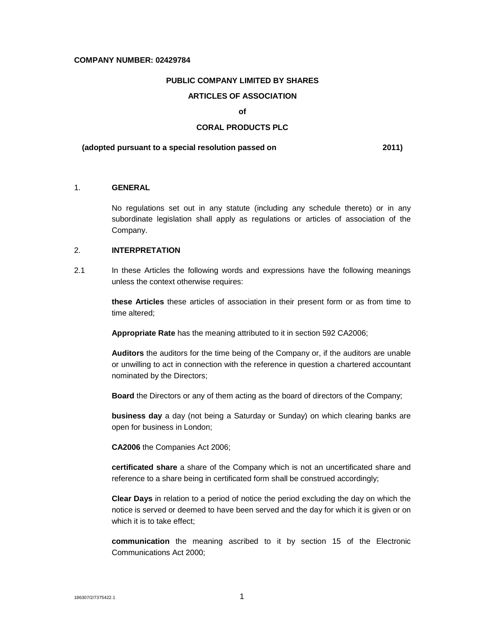#### **COMPANY NUMBER: 02429784**

# **PUBLIC COMPANY LIMITED BY SHARES**

# **ARTICLES OF ASSOCIATION**

#### **of**

# **CORAL PRODUCTS PLC**

#### **(adopted pursuant to a special resolution passed on 2011)**

## 1. **GENERAL**

No regulations set out in any statute (including any schedule thereto) or in any subordinate legislation shall apply as regulations or articles of association of the Company.

# 2. **INTERPRETATION**

2.1 In these Articles the following words and expressions have the following meanings unless the context otherwise requires:

> **these Articles** these articles of association in their present form or as from time to time altered;

**Appropriate Rate** has the meaning attributed to it in section 592 CA2006;

**Auditors** the auditors for the time being of the Company or, if the auditors are unable or unwilling to act in connection with the reference in question a chartered accountant nominated by the Directors;

**Board** the Directors or any of them acting as the board of directors of the Company;

**business day** a day (not being a Saturday or Sunday) on which clearing banks are open for business in London;

**CA2006** the Companies Act 2006;

**certificated share** a share of the Company which is not an uncertificated share and reference to a share being in certificated form shall be construed accordingly;

**Clear Days** in relation to a period of notice the period excluding the day on which the notice is served or deemed to have been served and the day for which it is given or on which it is to take effect;

**communication** the meaning ascribed to it by section 15 of the Electronic Communications Act 2000;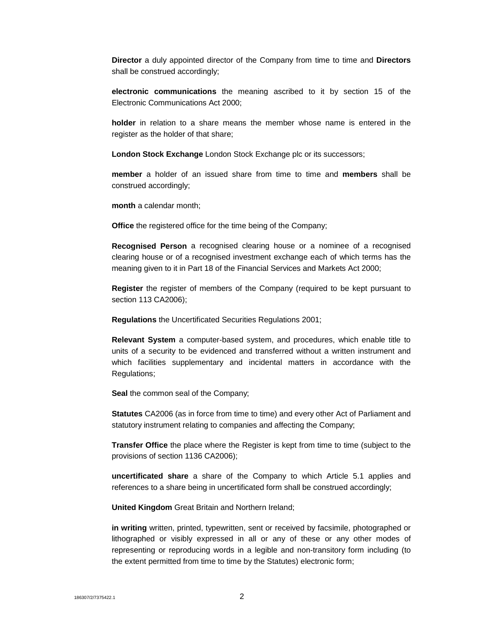**Director** a duly appointed director of the Company from time to time and **Directors** shall be construed accordingly;

**electronic communications** the meaning ascribed to it by section 15 of the Electronic Communications Act 2000;

**holder** in relation to a share means the member whose name is entered in the register as the holder of that share;

**London Stock Exchange** London Stock Exchange plc or its successors;

**member** a holder of an issued share from time to time and **members** shall be construed accordingly;

**month** a calendar month;

**Office** the registered office for the time being of the Company;

**Recognised Person** a recognised clearing house or a nominee of a recognised clearing house or of a recognised investment exchange each of which terms has the meaning given to it in Part 18 of the Financial Services and Markets Act 2000;

**Register** the register of members of the Company (required to be kept pursuant to section 113 CA2006);

**Regulations** the Uncertificated Securities Regulations 2001;

**Relevant System** a computer-based system, and procedures, which enable title to units of a security to be evidenced and transferred without a written instrument and which facilities supplementary and incidental matters in accordance with the Regulations;

**Seal** the common seal of the Company;

**Statutes** CA2006 (as in force from time to time) and every other Act of Parliament and statutory instrument relating to companies and affecting the Company;

**Transfer Office** the place where the Register is kept from time to time (subject to the provisions of section 1136 CA2006);

**uncertificated share** a share of the Company to which Article 5.1 applies and references to a share being in uncertificated form shall be construed accordingly;

**United Kingdom** Great Britain and Northern Ireland;

**in writing** written, printed, typewritten, sent or received by facsimile, photographed or lithographed or visibly expressed in all or any of these or any other modes of representing or reproducing words in a legible and non-transitory form including (to the extent permitted from time to time by the Statutes) electronic form;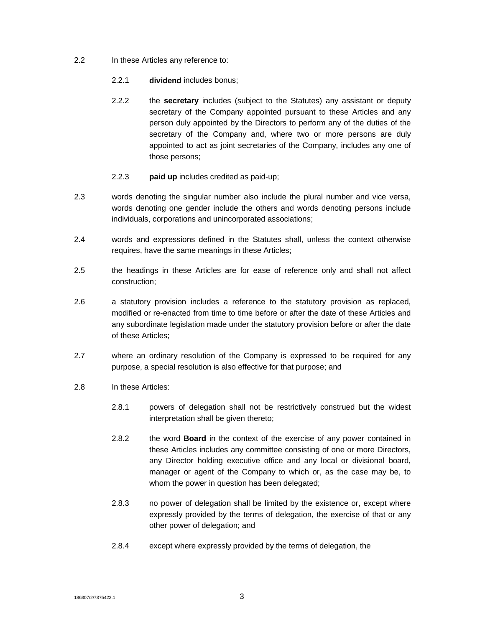- 2.2 In these Articles any reference to:
	- 2.2.1 **dividend** includes bonus;
	- 2.2.2 the **secretary** includes (subject to the Statutes) any assistant or deputy secretary of the Company appointed pursuant to these Articles and any person duly appointed by the Directors to perform any of the duties of the secretary of the Company and, where two or more persons are duly appointed to act as joint secretaries of the Company, includes any one of those persons;
	- 2.2.3 **paid up** includes credited as paid-up;
- 2.3 words denoting the singular number also include the plural number and vice versa, words denoting one gender include the others and words denoting persons include individuals, corporations and unincorporated associations;
- 2.4 words and expressions defined in the Statutes shall, unless the context otherwise requires, have the same meanings in these Articles;
- 2.5 the headings in these Articles are for ease of reference only and shall not affect construction;
- 2.6 a statutory provision includes a reference to the statutory provision as replaced, modified or re-enacted from time to time before or after the date of these Articles and any subordinate legislation made under the statutory provision before or after the date of these Articles;
- 2.7 where an ordinary resolution of the Company is expressed to be required for any purpose, a special resolution is also effective for that purpose; and
- 2.8 In these Articles:
	- 2.8.1 powers of delegation shall not be restrictively construed but the widest interpretation shall be given thereto;
	- 2.8.2 the word **Board** in the context of the exercise of any power contained in these Articles includes any committee consisting of one or more Directors, any Director holding executive office and any local or divisional board, manager or agent of the Company to which or, as the case may be, to whom the power in question has been delegated;
	- 2.8.3 no power of delegation shall be limited by the existence or, except where expressly provided by the terms of delegation, the exercise of that or any other power of delegation; and
	- 2.8.4 except where expressly provided by the terms of delegation, the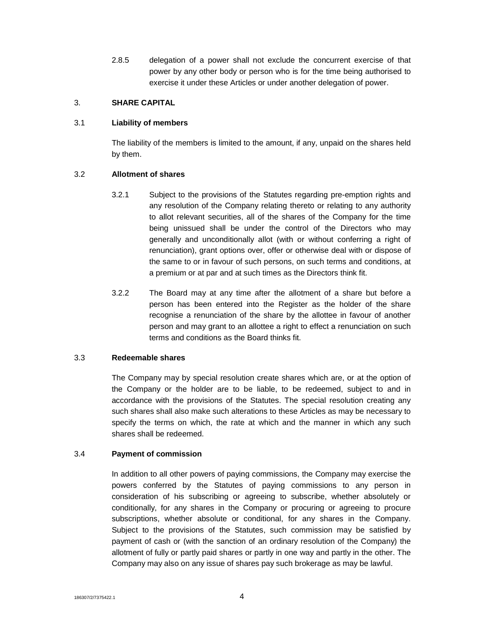2.8.5 delegation of a power shall not exclude the concurrent exercise of that power by any other body or person who is for the time being authorised to exercise it under these Articles or under another delegation of power.

## 3. **SHARE CAPITAL**

# 3.1 **Liability of members**

The liability of the members is limited to the amount, if any, unpaid on the shares held by them.

# 3.2 **Allotment of shares**

- 3.2.1 Subject to the provisions of the Statutes regarding pre-emption rights and any resolution of the Company relating thereto or relating to any authority to allot relevant securities, all of the shares of the Company for the time being unissued shall be under the control of the Directors who may generally and unconditionally allot (with or without conferring a right of renunciation), grant options over, offer or otherwise deal with or dispose of the same to or in favour of such persons, on such terms and conditions, at a premium or at par and at such times as the Directors think fit.
- 3.2.2 The Board may at any time after the allotment of a share but before a person has been entered into the Register as the holder of the share recognise a renunciation of the share by the allottee in favour of another person and may grant to an allottee a right to effect a renunciation on such terms and conditions as the Board thinks fit.

# 3.3 **Redeemable shares**

The Company may by special resolution create shares which are, or at the option of the Company or the holder are to be liable, to be redeemed, subject to and in accordance with the provisions of the Statutes. The special resolution creating any such shares shall also make such alterations to these Articles as may be necessary to specify the terms on which, the rate at which and the manner in which any such shares shall be redeemed.

# 3.4 **Payment of commission**

In addition to all other powers of paying commissions, the Company may exercise the powers conferred by the Statutes of paying commissions to any person in consideration of his subscribing or agreeing to subscribe, whether absolutely or conditionally, for any shares in the Company or procuring or agreeing to procure subscriptions, whether absolute or conditional, for any shares in the Company. Subject to the provisions of the Statutes, such commission may be satisfied by payment of cash or (with the sanction of an ordinary resolution of the Company) the allotment of fully or partly paid shares or partly in one way and partly in the other. The Company may also on any issue of shares pay such brokerage as may be lawful.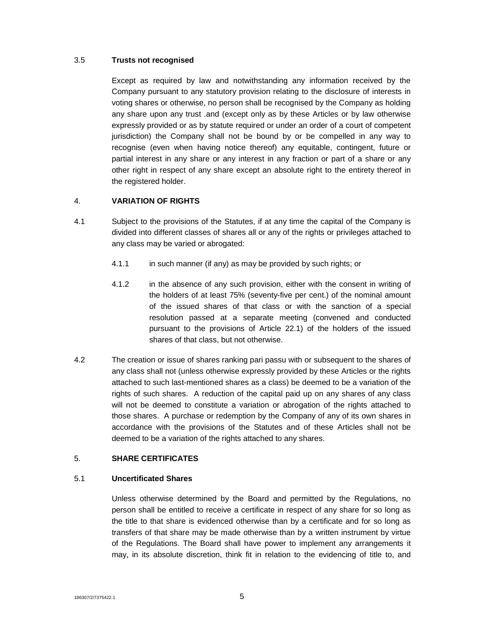## 3.5 **Trusts not recognised**

Except as required by law and notwithstanding any information received by the Company pursuant to any statutory provision relating to the disclosure of interests in voting shares or otherwise, no person shall be recognised by the Company as holding any share upon any trust .and (except only as by these Articles or by law otherwise expressly provided or as by statute required or under an order of a court of competent jurisdiction) the Company shall not be bound by or be compelled in any way to recognise (even when having notice thereof) any equitable, contingent, future or partial interest in any share or any interest in any fraction or part of a share or any other right in respect of any share except an absolute right to the entirety thereof in the registered holder.

# 4. **VARIATION OF RIGHTS**

- 4.1 Subject to the provisions of the Statutes, if at any time the capital of the Company is divided into different classes of shares all or any of the rights or privileges attached to any class may be varied or abrogated:
	- 4.1.1 in such manner (if any) as may be provided by such rights; or
	- 4.1.2 in the absence of any such provision, either with the consent in writing of the holders of at least 75% (seventy-five per cent.) of the nominal amount of the issued shares of that class or with the sanction of a special resolution passed at a separate meeting (convened and conducted pursuant to the provisions of Article 22.1) of the holders of the issued shares of that class, but not otherwise.
- 4.2 The creation or issue of shares ranking pari passu with or subsequent to the shares of any class shall not (unless otherwise expressly provided by these Articles or the rights attached to such last-mentioned shares as a class) be deemed to be a variation of the rights of such shares. A reduction of the capital paid up on any shares of any class will not be deemed to constitute a variation or abrogation of the rights attached to those shares. A purchase or redemption by the Company of any of its own shares in accordance with the provisions of the Statutes and of these Articles shall not be deemed to be a variation of the rights attached to any shares.

# 5. **SHARE CERTIFICATES**

#### 5.1 **Uncertificated Shares**

Unless otherwise determined by the Board and permitted by the Regulations, no person shall be entitled to receive a certificate in respect of any share for so long as the title to that share is evidenced otherwise than by a certificate and for so long as transfers of that share may be made otherwise than by a written instrument by virtue of the Regulations. The Board shall have power to implement any arrangements it may, in its absolute discretion, think fit in relation to the evidencing of title to, and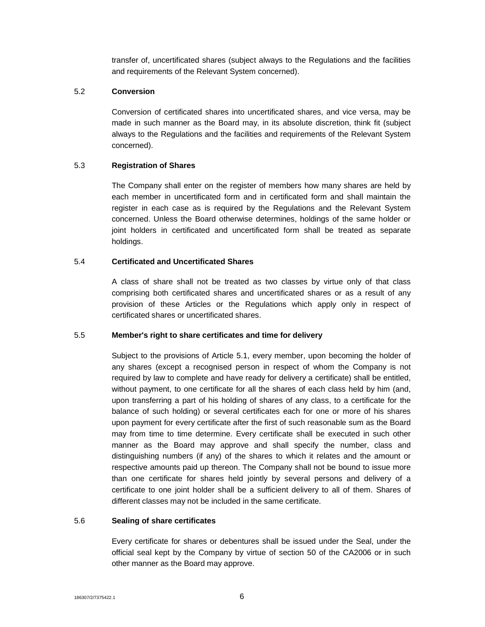transfer of, uncertificated shares (subject always to the Regulations and the facilities and requirements of the Relevant System concerned).

# 5.2 **Conversion**

Conversion of certificated shares into uncertificated shares, and vice versa, may be made in such manner as the Board may, in its absolute discretion, think fit (subject always to the Regulations and the facilities and requirements of the Relevant System concerned).

# 5.3 **Registration of Shares**

The Company shall enter on the register of members how many shares are held by each member in uncertificated form and in certificated form and shall maintain the register in each case as is required by the Regulations and the Relevant System concerned. Unless the Board otherwise determines, holdings of the same holder or joint holders in certificated and uncertificated form shall be treated as separate holdings.

# 5.4 **Certificated and Uncertificated Shares**

A class of share shall not be treated as two classes by virtue only of that class comprising both certificated shares and uncertificated shares or as a result of any provision of these Articles or the Regulations which apply only in respect of certificated shares or uncertificated shares.

# 5.5 **Member's right to share certificates and time for delivery**

Subject to the provisions of Article 5.1, every member, upon becoming the holder of any shares (except a recognised person in respect of whom the Company is not required by law to complete and have ready for delivery a certificate) shall be entitled, without payment, to one certificate for all the shares of each class held by him (and, upon transferring a part of his holding of shares of any class, to a certificate for the balance of such holding) or several certificates each for one or more of his shares upon payment for every certificate after the first of such reasonable sum as the Board may from time to time determine. Every certificate shall be executed in such other manner as the Board may approve and shall specify the number, class and distinguishing numbers (if any) of the shares to which it relates and the amount or respective amounts paid up thereon. The Company shall not be bound to issue more than one certificate for shares held jointly by several persons and delivery of a certificate to one joint holder shall be a sufficient delivery to all of them. Shares of different classes may not be included in the same certificate.

# 5.6 **Sealing of share certificates**

Every certificate for shares or debentures shall be issued under the Seal, under the official seal kept by the Company by virtue of section 50 of the CA2006 or in such other manner as the Board may approve.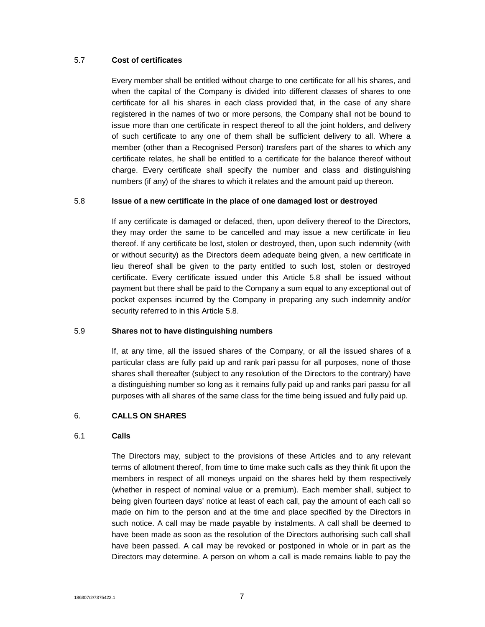## 5.7 **Cost of certificates**

Every member shall be entitled without charge to one certificate for all his shares, and when the capital of the Company is divided into different classes of shares to one certificate for all his shares in each class provided that, in the case of any share registered in the names of two or more persons, the Company shall not be bound to issue more than one certificate in respect thereof to all the joint holders, and delivery of such certificate to any one of them shall be sufficient delivery to all. Where a member (other than a Recognised Person) transfers part of the shares to which any certificate relates, he shall be entitled to a certificate for the balance thereof without charge. Every certificate shall specify the number and class and distinguishing numbers (if any) of the shares to which it relates and the amount paid up thereon.

#### 5.8 **Issue of a new certificate in the place of one damaged lost or destroyed**

If any certificate is damaged or defaced, then, upon delivery thereof to the Directors, they may order the same to be cancelled and may issue a new certificate in lieu thereof. If any certificate be lost, stolen or destroyed, then, upon such indemnity (with or without security) as the Directors deem adequate being given, a new certificate in lieu thereof shall be given to the party entitled to such lost, stolen or destroyed certificate. Every certificate issued under this Article 5.8 shall be issued without payment but there shall be paid to the Company a sum equal to any exceptional out of pocket expenses incurred by the Company in preparing any such indemnity and/or security referred to in this Article 5.8.

## 5.9 **Shares not to have distinguishing numbers**

If, at any time, all the issued shares of the Company, or all the issued shares of a particular class are fully paid up and rank pari passu for all purposes, none of those shares shall thereafter (subject to any resolution of the Directors to the contrary) have a distinguishing number so long as it remains fully paid up and ranks pari passu for all purposes with all shares of the same class for the time being issued and fully paid up.

#### 6. **CALLS ON SHARES**

#### 6.1 **Calls**

The Directors may, subject to the provisions of these Articles and to any relevant terms of allotment thereof, from time to time make such calls as they think fit upon the members in respect of all moneys unpaid on the shares held by them respectively (whether in respect of nominal value or a premium). Each member shall, subject to being given fourteen days' notice at least of each call, pay the amount of each call so made on him to the person and at the time and place specified by the Directors in such notice. A call may be made payable by instalments. A call shall be deemed to have been made as soon as the resolution of the Directors authorising such call shall have been passed. A call may be revoked or postponed in whole or in part as the Directors may determine. A person on whom a call is made remains liable to pay the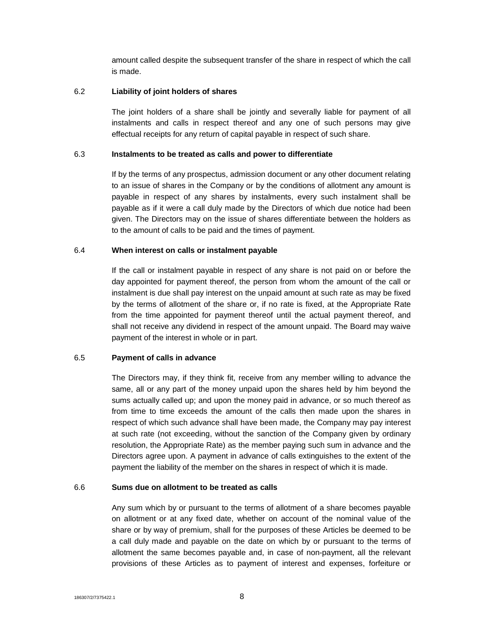amount called despite the subsequent transfer of the share in respect of which the call is made.

## 6.2 **Liability of joint holders of shares**

The joint holders of a share shall be jointly and severally liable for payment of all instalments and calls in respect thereof and any one of such persons may give effectual receipts for any return of capital payable in respect of such share.

#### 6.3 **Instalments to be treated as calls and power to differentiate**

If by the terms of any prospectus, admission document or any other document relating to an issue of shares in the Company or by the conditions of allotment any amount is payable in respect of any shares by instalments, every such instalment shall be payable as if it were a call duly made by the Directors of which due notice had been given. The Directors may on the issue of shares differentiate between the holders as to the amount of calls to be paid and the times of payment.

#### 6.4 **When interest on calls or instalment payable**

If the call or instalment payable in respect of any share is not paid on or before the day appointed for payment thereof, the person from whom the amount of the call or instalment is due shall pay interest on the unpaid amount at such rate as may be fixed by the terms of allotment of the share or, if no rate is fixed, at the Appropriate Rate from the time appointed for payment thereof until the actual payment thereof, and shall not receive any dividend in respect of the amount unpaid. The Board may waive payment of the interest in whole or in part.

#### 6.5 **Payment of calls in advance**

The Directors may, if they think fit, receive from any member willing to advance the same, all or any part of the money unpaid upon the shares held by him beyond the sums actually called up; and upon the money paid in advance, or so much thereof as from time to time exceeds the amount of the calls then made upon the shares in respect of which such advance shall have been made, the Company may pay interest at such rate (not exceeding, without the sanction of the Company given by ordinary resolution, the Appropriate Rate) as the member paying such sum in advance and the Directors agree upon. A payment in advance of calls extinguishes to the extent of the payment the liability of the member on the shares in respect of which it is made.

# 6.6 **Sums due on allotment to be treated as calls**

Any sum which by or pursuant to the terms of allotment of a share becomes payable on allotment or at any fixed date, whether on account of the nominal value of the share or by way of premium, shall for the purposes of these Articles be deemed to be a call duly made and payable on the date on which by or pursuant to the terms of allotment the same becomes payable and, in case of non-payment, all the relevant provisions of these Articles as to payment of interest and expenses, forfeiture or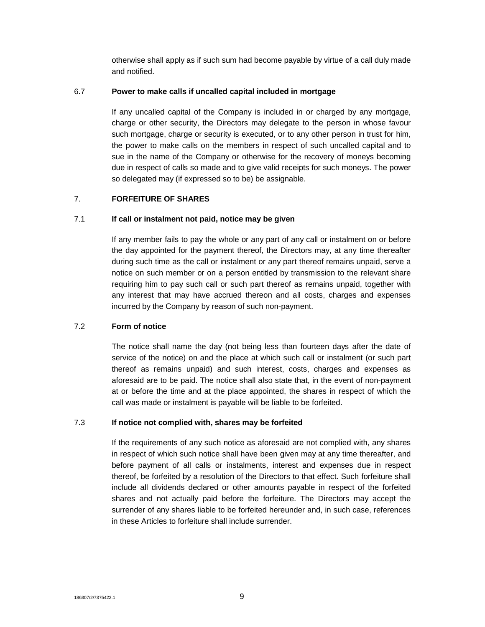otherwise shall apply as if such sum had become payable by virtue of a call duly made and notified.

# 6.7 **Power to make calls if uncalled capital included in mortgage**

If any uncalled capital of the Company is included in or charged by any mortgage, charge or other security, the Directors may delegate to the person in whose favour such mortgage, charge or security is executed, or to any other person in trust for him, the power to make calls on the members in respect of such uncalled capital and to sue in the name of the Company or otherwise for the recovery of moneys becoming due in respect of calls so made and to give valid receipts for such moneys. The power so delegated may (if expressed so to be) be assignable.

# 7. **FORFEITURE OF SHARES**

# 7.1 **If call or instalment not paid, notice may be given**

If any member fails to pay the whole or any part of any call or instalment on or before the day appointed for the payment thereof, the Directors may, at any time thereafter during such time as the call or instalment or any part thereof remains unpaid, serve a notice on such member or on a person entitled by transmission to the relevant share requiring him to pay such call or such part thereof as remains unpaid, together with any interest that may have accrued thereon and all costs, charges and expenses incurred by the Company by reason of such non-payment.

# 7.2 **Form of notice**

The notice shall name the day (not being less than fourteen days after the date of service of the notice) on and the place at which such call or instalment (or such part thereof as remains unpaid) and such interest, costs, charges and expenses as aforesaid are to be paid. The notice shall also state that, in the event of non-payment at or before the time and at the place appointed, the shares in respect of which the call was made or instalment is payable will be liable to be forfeited.

#### 7.3 **If notice not complied with, shares may be forfeited**

If the requirements of any such notice as aforesaid are not complied with, any shares in respect of which such notice shall have been given may at any time thereafter, and before payment of all calls or instalments, interest and expenses due in respect thereof, be forfeited by a resolution of the Directors to that effect. Such forfeiture shall include all dividends declared or other amounts payable in respect of the forfeited shares and not actually paid before the forfeiture. The Directors may accept the surrender of any shares liable to be forfeited hereunder and, in such case, references in these Articles to forfeiture shall include surrender.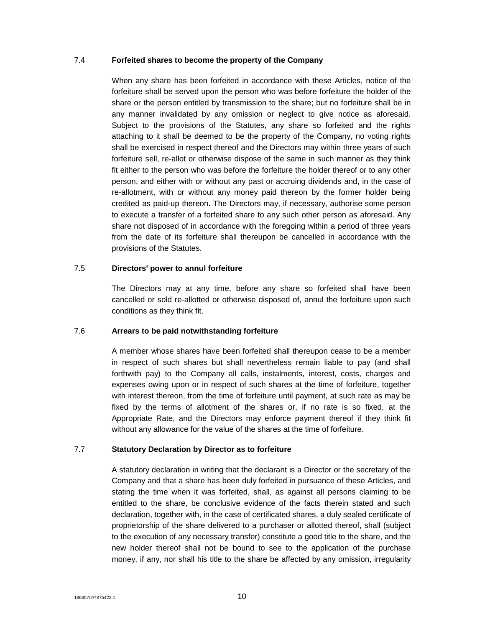#### 7.4 **Forfeited shares to become the property of the Company**

When any share has been forfeited in accordance with these Articles, notice of the forfeiture shall be served upon the person who was before forfeiture the holder of the share or the person entitled by transmission to the share; but no forfeiture shall be in any manner invalidated by any omission or neglect to give notice as aforesaid. Subject to the provisions of the Statutes, any share so forfeited and the rights attaching to it shall be deemed to be the property of the Company, no voting rights shall be exercised in respect thereof and the Directors may within three years of such forfeiture sell, re-allot or otherwise dispose of the same in such manner as they think fit either to the person who was before the forfeiture the holder thereof or to any other person, and either with or without any past or accruing dividends and, in the case of re-allotment, with or without any money paid thereon by the former holder being credited as paid-up thereon. The Directors may, if necessary, authorise some person to execute a transfer of a forfeited share to any such other person as aforesaid. Any share not disposed of in accordance with the foregoing within a period of three years from the date of its forfeiture shall thereupon be cancelled in accordance with the provisions of the Statutes.

#### 7.5 **Directors' power to annul forfeiture**

The Directors may at any time, before any share so forfeited shall have been cancelled or sold re-allotted or otherwise disposed of, annul the forfeiture upon such conditions as they think fit.

# 7.6 **Arrears to be paid notwithstanding forfeiture**

A member whose shares have been forfeited shall thereupon cease to be a member in respect of such shares but shall nevertheless remain liable to pay (and shall forthwith pay) to the Company all calls, instalments, interest, costs, charges and expenses owing upon or in respect of such shares at the time of forfeiture, together with interest thereon, from the time of forfeiture until payment, at such rate as may be fixed by the terms of allotment of the shares or, if no rate is so fixed, at the Appropriate Rate, and the Directors may enforce payment thereof if they think fit without any allowance for the value of the shares at the time of forfeiture.

#### 7.7 **Statutory Declaration by Director as to forfeiture**

A statutory declaration in writing that the declarant is a Director or the secretary of the Company and that a share has been duly forfeited in pursuance of these Articles, and stating the time when it was forfeited, shall, as against all persons claiming to be entitled to the share, be conclusive evidence of the facts therein stated and such declaration, together with, in the case of certificated shares, a duly sealed certificate of proprietorship of the share delivered to a purchaser or allotted thereof, shall (subject to the execution of any necessary transfer) constitute a good title to the share, and the new holder thereof shall not be bound to see to the application of the purchase money, if any, nor shall his title to the share be affected by any omission, irregularity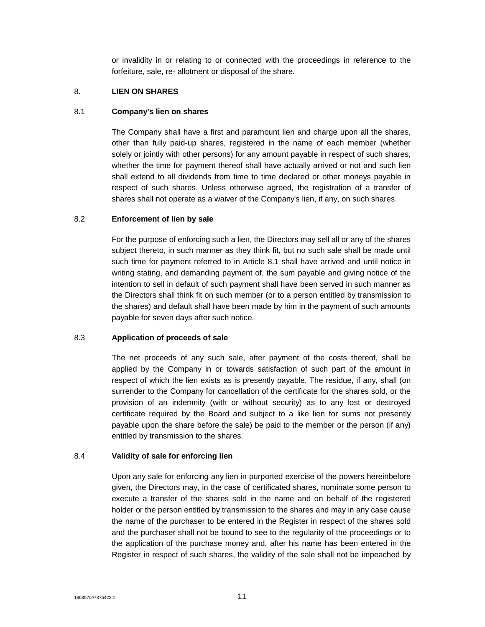or invalidity in or relating to or connected with the proceedings in reference to the forfeiture, sale, re- allotment or disposal of the share.

# 8. **LIEN ON SHARES**

## 8.1 **Company's lien on shares**

The Company shall have a first and paramount lien and charge upon all the shares, other than fully paid-up shares, registered in the name of each member (whether solely or jointly with other persons) for any amount payable in respect of such shares, whether the time for payment thereof shall have actually arrived or not and such lien shall extend to all dividends from time to time declared or other moneys payable in respect of such shares. Unless otherwise agreed, the registration of a transfer of shares shall not operate as a waiver of the Company's lien, if any, on such shares.

# 8.2 **Enforcement of lien by sale**

For the purpose of enforcing such a lien, the Directors may sell all or any of the shares subject thereto, in such manner as they think fit, but no such sale shall be made until such time for payment referred to in Article 8.1 shall have arrived and until notice in writing stating, and demanding payment of, the sum payable and giving notice of the intention to sell in default of such payment shall have been served in such manner as the Directors shall think fit on such member (or to a person entitled by transmission to the shares) and default shall have been made by him in the payment of such amounts payable for seven days after such notice.

# 8.3 **Application of proceeds of sale**

The net proceeds of any such sale, after payment of the costs thereof, shall be applied by the Company in or towards satisfaction of such part of the amount in respect of which the lien exists as is presently payable. The residue, if any, shall (on surrender to the Company for cancellation of the certificate for the shares sold, or the provision of an indemnity (with or without security) as to any lost or destroyed certificate required by the Board and subject to a like lien for sums not presently payable upon the share before the sale) be paid to the member or the person (if any) entitled by transmission to the shares.

# 8.4 **Validity of sale for enforcing lien**

Upon any sale for enforcing any lien in purported exercise of the powers hereinbefore given, the Directors may, in the case of certificated shares, nominate some person to execute a transfer of the shares sold in the name and on behalf of the registered holder or the person entitled by transmission to the shares and may in any case cause the name of the purchaser to be entered in the Register in respect of the shares sold and the purchaser shall not be bound to see to the regularity of the proceedings or to the application of the purchase money and, after his name has been entered in the Register in respect of such shares, the validity of the sale shall not be impeached by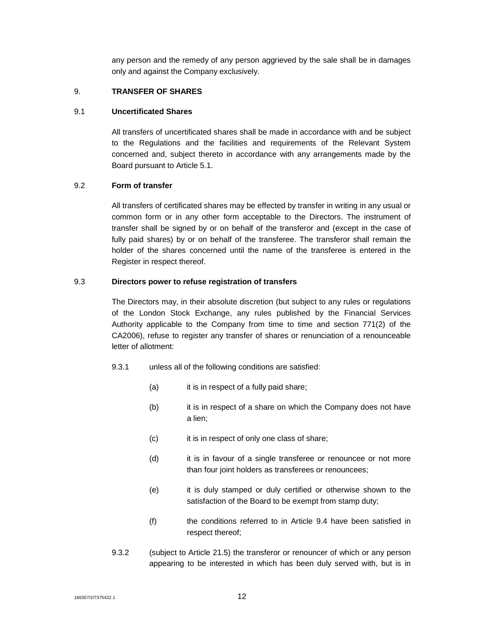any person and the remedy of any person aggrieved by the sale shall be in damages only and against the Company exclusively.

# 9. **TRANSFER OF SHARES**

## 9.1 **Uncertificated Shares**

All transfers of uncertificated shares shall be made in accordance with and be subject to the Regulations and the facilities and requirements of the Relevant System concerned and, subject thereto in accordance with any arrangements made by the Board pursuant to Article 5.1.

# 9.2 **Form of transfer**

All transfers of certificated shares may be effected by transfer in writing in any usual or common form or in any other form acceptable to the Directors. The instrument of transfer shall be signed by or on behalf of the transferor and (except in the case of fully paid shares) by or on behalf of the transferee. The transferor shall remain the holder of the shares concerned until the name of the transferee is entered in the Register in respect thereof.

# 9.3 **Directors power to refuse registration of transfers**

The Directors may, in their absolute discretion (but subject to any rules or regulations of the London Stock Exchange, any rules published by the Financial Services Authority applicable to the Company from time to time and section 771(2) of the CA2006), refuse to register any transfer of shares or renunciation of a renounceable letter of allotment:

- 9.3.1 unless all of the following conditions are satisfied:
	- (a) it is in respect of a fully paid share;
	- (b) it is in respect of a share on which the Company does not have a lien;
	- (c) it is in respect of only one class of share;
	- (d) it is in favour of a single transferee or renouncee or not more than four joint holders as transferees or renouncees;
	- (e) it is duly stamped or duly certified or otherwise shown to the satisfaction of the Board to be exempt from stamp duty;
	- (f) the conditions referred to in Article 9.4 have been satisfied in respect thereof;
- 9.3.2 (subject to Article 21.5) the transferor or renouncer of which or any person appearing to be interested in which has been duly served with, but is in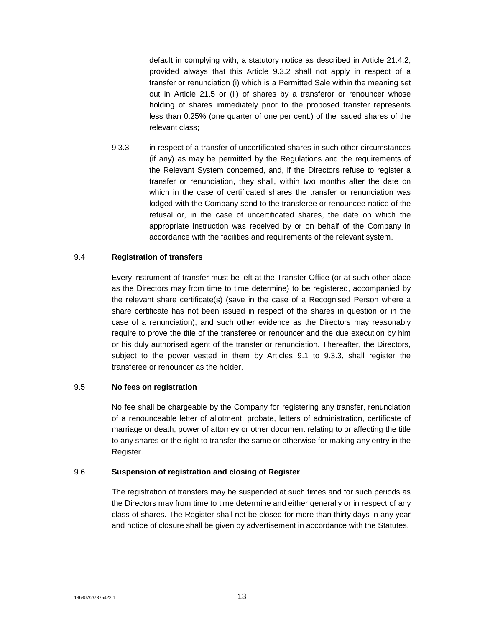default in complying with, a statutory notice as described in Article 21.4.2, provided always that this Article 9.3.2 shall not apply in respect of a transfer or renunciation (i) which is a Permitted Sale within the meaning set out in Article 21.5 or (ii) of shares by a transferor or renouncer whose holding of shares immediately prior to the proposed transfer represents less than 0.25% (one quarter of one per cent.) of the issued shares of the relevant class;

9.3.3 in respect of a transfer of uncertificated shares in such other circumstances (if any) as may be permitted by the Regulations and the requirements of the Relevant System concerned, and, if the Directors refuse to register a transfer or renunciation, they shall, within two months after the date on which in the case of certificated shares the transfer or renunciation was lodged with the Company send to the transferee or renouncee notice of the refusal or, in the case of uncertificated shares, the date on which the appropriate instruction was received by or on behalf of the Company in accordance with the facilities and requirements of the relevant system.

# 9.4 **Registration of transfers**

Every instrument of transfer must be left at the Transfer Office (or at such other place as the Directors may from time to time determine) to be registered, accompanied by the relevant share certificate(s) (save in the case of a Recognised Person where a share certificate has not been issued in respect of the shares in question or in the case of a renunciation), and such other evidence as the Directors may reasonably require to prove the title of the transferee or renouncer and the due execution by him or his duly authorised agent of the transfer or renunciation. Thereafter, the Directors, subject to the power vested in them by Articles 9.1 to 9.3.3, shall register the transferee or renouncer as the holder.

#### 9.5 **No fees on registration**

No fee shall be chargeable by the Company for registering any transfer, renunciation of a renounceable letter of allotment, probate, letters of administration, certificate of marriage or death, power of attorney or other document relating to or affecting the title to any shares or the right to transfer the same or otherwise for making any entry in the Register.

#### 9.6 **Suspension of registration and closing of Register**

The registration of transfers may be suspended at such times and for such periods as the Directors may from time to time determine and either generally or in respect of any class of shares. The Register shall not be closed for more than thirty days in any year and notice of closure shall be given by advertisement in accordance with the Statutes.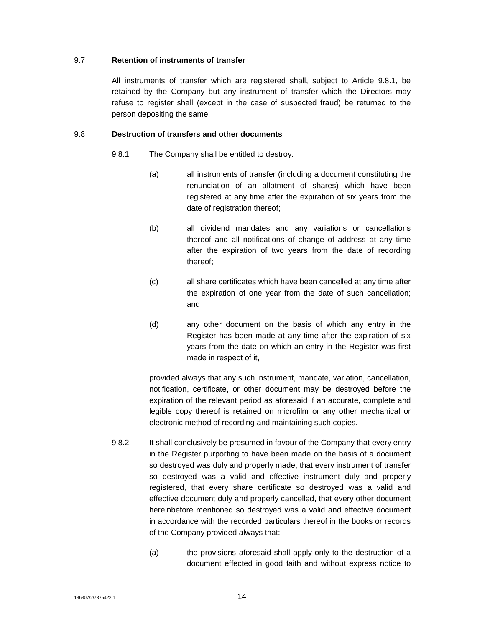## 9.7 **Retention of instruments of transfer**

All instruments of transfer which are registered shall, subject to Article 9.8.1, be retained by the Company but any instrument of transfer which the Directors may refuse to register shall (except in the case of suspected fraud) be returned to the person depositing the same.

## 9.8 **Destruction of transfers and other documents**

- 9.8.1 The Company shall be entitled to destroy:
	- (a) all instruments of transfer (including a document constituting the renunciation of an allotment of shares) which have been registered at any time after the expiration of six years from the date of registration thereof;
	- (b) all dividend mandates and any variations or cancellations thereof and all notifications of change of address at any time after the expiration of two years from the date of recording thereof;
	- (c) all share certificates which have been cancelled at any time after the expiration of one year from the date of such cancellation; and
	- (d) any other document on the basis of which any entry in the Register has been made at any time after the expiration of six years from the date on which an entry in the Register was first made in respect of it,

provided always that any such instrument, mandate, variation, cancellation, notification, certificate, or other document may be destroyed before the expiration of the relevant period as aforesaid if an accurate, complete and legible copy thereof is retained on microfilm or any other mechanical or electronic method of recording and maintaining such copies.

- 9.8.2 It shall conclusively be presumed in favour of the Company that every entry in the Register purporting to have been made on the basis of a document so destroyed was duly and properly made, that every instrument of transfer so destroyed was a valid and effective instrument duly and properly registered, that every share certificate so destroyed was a valid and effective document duly and properly cancelled, that every other document hereinbefore mentioned so destroyed was a valid and effective document in accordance with the recorded particulars thereof in the books or records of the Company provided always that:
	- (a) the provisions aforesaid shall apply only to the destruction of a document effected in good faith and without express notice to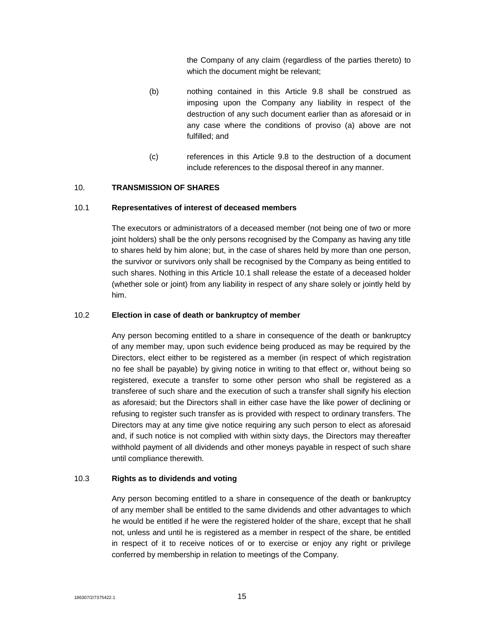the Company of any claim (regardless of the parties thereto) to which the document might be relevant;

- (b) nothing contained in this Article 9.8 shall be construed as imposing upon the Company any liability in respect of the destruction of any such document earlier than as aforesaid or in any case where the conditions of proviso (a) above are not fulfilled; and
- (c) references in this Article 9.8 to the destruction of a document include references to the disposal thereof in any manner.

# 10. **TRANSMISSION OF SHARES**

#### 10.1 **Representatives of interest of deceased members**

The executors or administrators of a deceased member (not being one of two or more joint holders) shall be the only persons recognised by the Company as having any title to shares held by him alone; but, in the case of shares held by more than one person, the survivor or survivors only shall be recognised by the Company as being entitled to such shares. Nothing in this Article 10.1 shall release the estate of a deceased holder (whether sole or joint) from any liability in respect of any share solely or jointly held by him.

#### 10.2 **Election in case of death or bankruptcy of member**

Any person becoming entitled to a share in consequence of the death or bankruptcy of any member may, upon such evidence being produced as may be required by the Directors, elect either to be registered as a member (in respect of which registration no fee shall be payable) by giving notice in writing to that effect or, without being so registered, execute a transfer to some other person who shall be registered as a transferee of such share and the execution of such a transfer shall signify his election as aforesaid; but the Directors shall in either case have the like power of declining or refusing to register such transfer as is provided with respect to ordinary transfers. The Directors may at any time give notice requiring any such person to elect as aforesaid and, if such notice is not complied with within sixty days, the Directors may thereafter withhold payment of all dividends and other moneys payable in respect of such share until compliance therewith.

#### 10.3 **Rights as to dividends and voting**

Any person becoming entitled to a share in consequence of the death or bankruptcy of any member shall be entitled to the same dividends and other advantages to which he would be entitled if he were the registered holder of the share, except that he shall not, unless and until he is registered as a member in respect of the share, be entitled in respect of it to receive notices of or to exercise or enjoy any right or privilege conferred by membership in relation to meetings of the Company.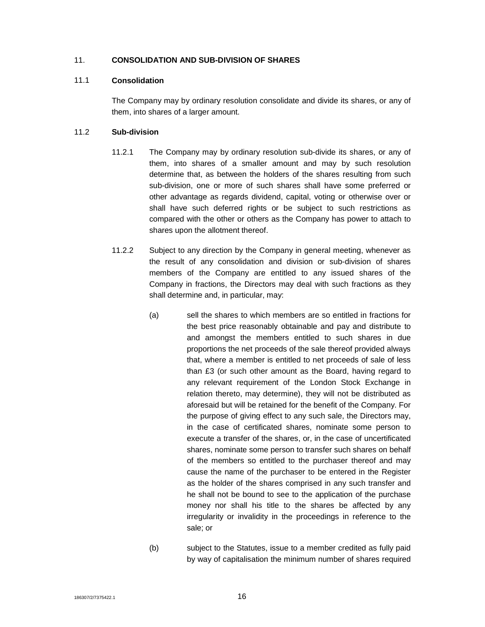## 11. **CONSOLIDATION AND SUB-DIVISION OF SHARES**

## 11.1 **Consolidation**

The Company may by ordinary resolution consolidate and divide its shares, or any of them, into shares of a larger amount.

# 11.2 **Sub-division**

- 11.2.1 The Company may by ordinary resolution sub-divide its shares, or any of them, into shares of a smaller amount and may by such resolution determine that, as between the holders of the shares resulting from such sub-division, one or more of such shares shall have some preferred or other advantage as regards dividend, capital, voting or otherwise over or shall have such deferred rights or be subject to such restrictions as compared with the other or others as the Company has power to attach to shares upon the allotment thereof.
- 11.2.2 Subject to any direction by the Company in general meeting, whenever as the result of any consolidation and division or sub-division of shares members of the Company are entitled to any issued shares of the Company in fractions, the Directors may deal with such fractions as they shall determine and, in particular, may:
	- (a) sell the shares to which members are so entitled in fractions for the best price reasonably obtainable and pay and distribute to and amongst the members entitled to such shares in due proportions the net proceeds of the sale thereof provided always that, where a member is entitled to net proceeds of sale of less than £3 (or such other amount as the Board, having regard to any relevant requirement of the London Stock Exchange in relation thereto, may determine), they will not be distributed as aforesaid but will be retained for the benefit of the Company. For the purpose of giving effect to any such sale, the Directors may, in the case of certificated shares, nominate some person to execute a transfer of the shares, or, in the case of uncertificated shares, nominate some person to transfer such shares on behalf of the members so entitled to the purchaser thereof and may cause the name of the purchaser to be entered in the Register as the holder of the shares comprised in any such transfer and he shall not be bound to see to the application of the purchase money nor shall his title to the shares be affected by any irregularity or invalidity in the proceedings in reference to the sale; or
	- (b) subject to the Statutes, issue to a member credited as fully paid by way of capitalisation the minimum number of shares required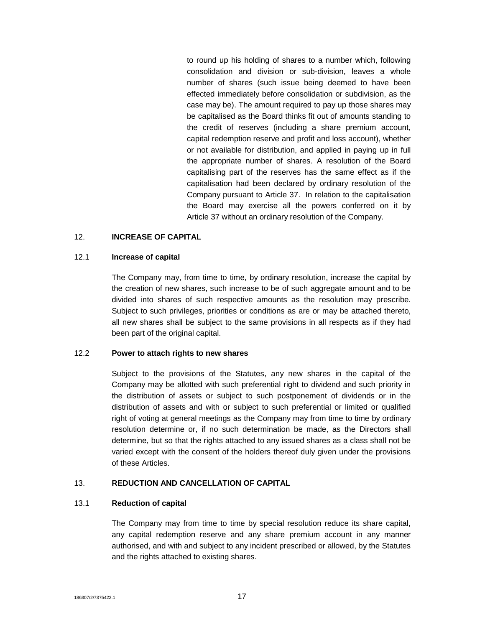to round up his holding of shares to a number which, following consolidation and division or sub-division, leaves a whole number of shares (such issue being deemed to have been effected immediately before consolidation or subdivision, as the case may be). The amount required to pay up those shares may be capitalised as the Board thinks fit out of amounts standing to the credit of reserves (including a share premium account, capital redemption reserve and profit and loss account), whether or not available for distribution, and applied in paying up in full the appropriate number of shares. A resolution of the Board capitalising part of the reserves has the same effect as if the capitalisation had been declared by ordinary resolution of the Company pursuant to Article 37. In relation to the capitalisation the Board may exercise all the powers conferred on it by Article 37 without an ordinary resolution of the Company.

#### 12. **INCREASE OF CAPITAL**

#### 12.1 **Increase of capital**

The Company may, from time to time, by ordinary resolution, increase the capital by the creation of new shares, such increase to be of such aggregate amount and to be divided into shares of such respective amounts as the resolution may prescribe. Subject to such privileges, priorities or conditions as are or may be attached thereto, all new shares shall be subject to the same provisions in all respects as if they had been part of the original capital.

#### 12.2 **Power to attach rights to new shares**

Subject to the provisions of the Statutes, any new shares in the capital of the Company may be allotted with such preferential right to dividend and such priority in the distribution of assets or subject to such postponement of dividends or in the distribution of assets and with or subject to such preferential or limited or qualified right of voting at general meetings as the Company may from time to time by ordinary resolution determine or, if no such determination be made, as the Directors shall determine, but so that the rights attached to any issued shares as a class shall not be varied except with the consent of the holders thereof duly given under the provisions of these Articles.

#### 13. **REDUCTION AND CANCELLATION OF CAPITAL**

#### 13.1 **Reduction of capital**

The Company may from time to time by special resolution reduce its share capital, any capital redemption reserve and any share premium account in any manner authorised, and with and subject to any incident prescribed or allowed, by the Statutes and the rights attached to existing shares.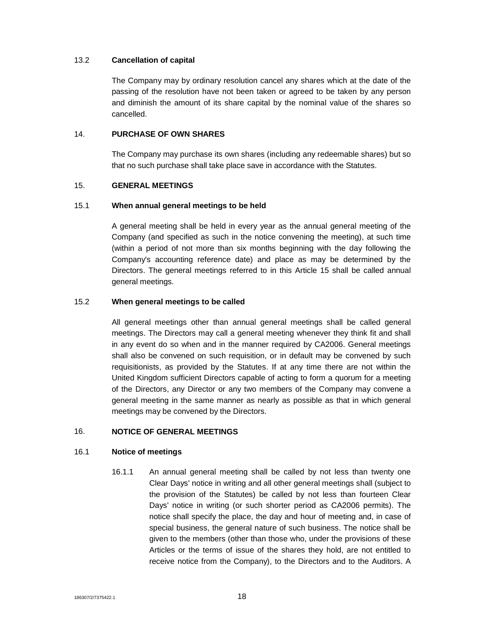## 13.2 **Cancellation of capital**

The Company may by ordinary resolution cancel any shares which at the date of the passing of the resolution have not been taken or agreed to be taken by any person and diminish the amount of its share capital by the nominal value of the shares so cancelled.

## 14. **PURCHASE OF OWN SHARES**

The Company may purchase its own shares (including any redeemable shares) but so that no such purchase shall take place save in accordance with the Statutes.

# 15. **GENERAL MEETINGS**

# 15.1 **When annual general meetings to be held**

A general meeting shall be held in every year as the annual general meeting of the Company (and specified as such in the notice convening the meeting), at such time (within a period of not more than six months beginning with the day following the Company's accounting reference date) and place as may be determined by the Directors. The general meetings referred to in this Article 15 shall be called annual general meetings.

# 15.2 **When general meetings to be called**

All general meetings other than annual general meetings shall be called general meetings. The Directors may call a general meeting whenever they think fit and shall in any event do so when and in the manner required by CA2006. General meetings shall also be convened on such requisition, or in default may be convened by such requisitionists, as provided by the Statutes. If at any time there are not within the United Kingdom sufficient Directors capable of acting to form a quorum for a meeting of the Directors, any Director or any two members of the Company may convene a general meeting in the same manner as nearly as possible as that in which general meetings may be convened by the Directors.

# 16. **NOTICE OF GENERAL MEETINGS**

# 16.1 **Notice of meetings**

16.1.1 An annual general meeting shall be called by not less than twenty one Clear Days' notice in writing and all other general meetings shall (subject to the provision of the Statutes) be called by not less than fourteen Clear Days' notice in writing (or such shorter period as CA2006 permits). The notice shall specify the place, the day and hour of meeting and, in case of special business, the general nature of such business. The notice shall be given to the members (other than those who, under the provisions of these Articles or the terms of issue of the shares they hold, are not entitled to receive notice from the Company), to the Directors and to the Auditors. A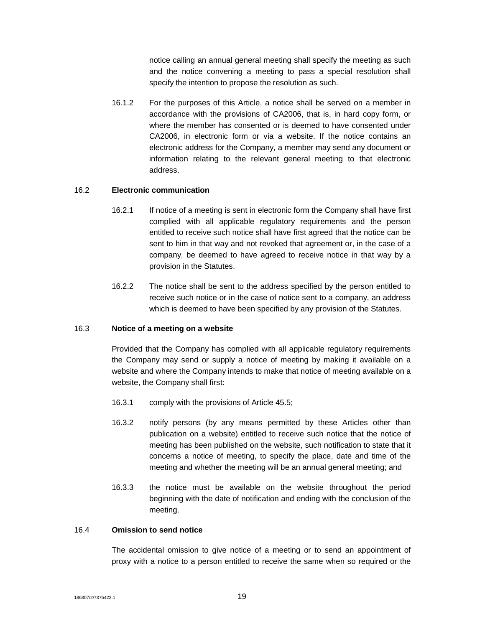notice calling an annual general meeting shall specify the meeting as such and the notice convening a meeting to pass a special resolution shall specify the intention to propose the resolution as such.

16.1.2 For the purposes of this Article, a notice shall be served on a member in accordance with the provisions of CA2006, that is, in hard copy form, or where the member has consented or is deemed to have consented under CA2006, in electronic form or via a website. If the notice contains an electronic address for the Company, a member may send any document or information relating to the relevant general meeting to that electronic address.

#### 16.2 **Electronic communication**

- 16.2.1 If notice of a meeting is sent in electronic form the Company shall have first complied with all applicable regulatory requirements and the person entitled to receive such notice shall have first agreed that the notice can be sent to him in that way and not revoked that agreement or, in the case of a company, be deemed to have agreed to receive notice in that way by a provision in the Statutes.
- 16.2.2 The notice shall be sent to the address specified by the person entitled to receive such notice or in the case of notice sent to a company, an address which is deemed to have been specified by any provision of the Statutes.

#### 16.3 **Notice of a meeting on a website**

Provided that the Company has complied with all applicable regulatory requirements the Company may send or supply a notice of meeting by making it available on a website and where the Company intends to make that notice of meeting available on a website, the Company shall first:

- 16.3.1 comply with the provisions of Article 45.5;
- 16.3.2 notify persons (by any means permitted by these Articles other than publication on a website) entitled to receive such notice that the notice of meeting has been published on the website, such notification to state that it concerns a notice of meeting, to specify the place, date and time of the meeting and whether the meeting will be an annual general meeting; and
- 16.3.3 the notice must be available on the website throughout the period beginning with the date of notification and ending with the conclusion of the meeting.

#### 16.4 **Omission to send notice**

The accidental omission to give notice of a meeting or to send an appointment of proxy with a notice to a person entitled to receive the same when so required or the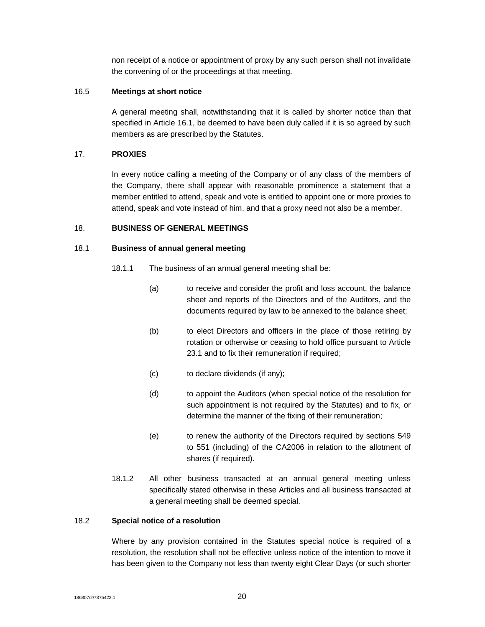non receipt of a notice or appointment of proxy by any such person shall not invalidate the convening of or the proceedings at that meeting.

#### 16.5 **Meetings at short notice**

A general meeting shall, notwithstanding that it is called by shorter notice than that specified in Article 16.1, be deemed to have been duly called if it is so agreed by such members as are prescribed by the Statutes.

# 17. **PROXIES**

In every notice calling a meeting of the Company or of any class of the members of the Company, there shall appear with reasonable prominence a statement that a member entitled to attend, speak and vote is entitled to appoint one or more proxies to attend, speak and vote instead of him, and that a proxy need not also be a member.

# 18. **BUSINESS OF GENERAL MEETINGS**

# 18.1 **Business of annual general meeting**

- 18.1.1 The business of an annual general meeting shall be:
	- (a) to receive and consider the profit and loss account, the balance sheet and reports of the Directors and of the Auditors, and the documents required by law to be annexed to the balance sheet;
	- (b) to elect Directors and officers in the place of those retiring by rotation or otherwise or ceasing to hold office pursuant to Article 23.1 and to fix their remuneration if required;
	- (c) to declare dividends (if any);
	- (d) to appoint the Auditors (when special notice of the resolution for such appointment is not required by the Statutes) and to fix, or determine the manner of the fixing of their remuneration;
	- (e) to renew the authority of the Directors required by sections 549 to 551 (including) of the CA2006 in relation to the allotment of shares (if required).
- 18.1.2 All other business transacted at an annual general meeting unless specifically stated otherwise in these Articles and all business transacted at a general meeting shall be deemed special.

# 18.2 **Special notice of a resolution**

Where by any provision contained in the Statutes special notice is required of a resolution, the resolution shall not be effective unless notice of the intention to move it has been given to the Company not less than twenty eight Clear Days (or such shorter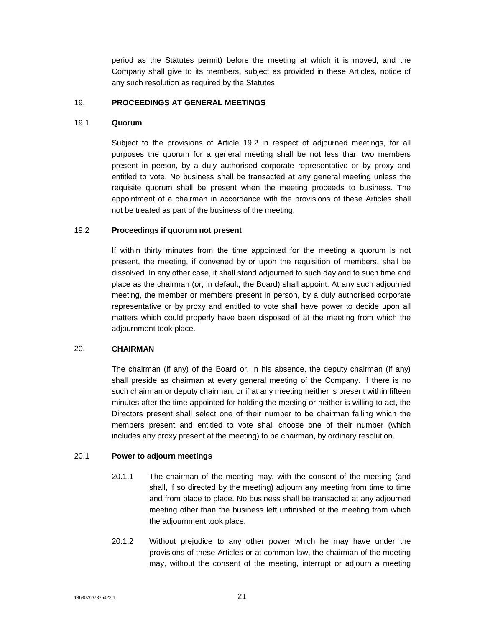period as the Statutes permit) before the meeting at which it is moved, and the Company shall give to its members, subject as provided in these Articles, notice of any such resolution as required by the Statutes.

#### 19. **PROCEEDINGS AT GENERAL MEETINGS**

#### 19.1 **Quorum**

Subject to the provisions of Article 19.2 in respect of adjourned meetings, for all purposes the quorum for a general meeting shall be not less than two members present in person, by a duly authorised corporate representative or by proxy and entitled to vote. No business shall be transacted at any general meeting unless the requisite quorum shall be present when the meeting proceeds to business. The appointment of a chairman in accordance with the provisions of these Articles shall not be treated as part of the business of the meeting.

#### 19.2 **Proceedings if quorum not present**

If within thirty minutes from the time appointed for the meeting a quorum is not present, the meeting, if convened by or upon the requisition of members, shall be dissolved. In any other case, it shall stand adjourned to such day and to such time and place as the chairman (or, in default, the Board) shall appoint. At any such adjourned meeting, the member or members present in person, by a duly authorised corporate representative or by proxy and entitled to vote shall have power to decide upon all matters which could properly have been disposed of at the meeting from which the adjournment took place.

#### 20. **CHAIRMAN**

The chairman (if any) of the Board or, in his absence, the deputy chairman (if any) shall preside as chairman at every general meeting of the Company. If there is no such chairman or deputy chairman, or if at any meeting neither is present within fifteen minutes after the time appointed for holding the meeting or neither is willing to act, the Directors present shall select one of their number to be chairman failing which the members present and entitled to vote shall choose one of their number (which includes any proxy present at the meeting) to be chairman, by ordinary resolution.

#### 20.1 **Power to adjourn meetings**

- 20.1.1 The chairman of the meeting may, with the consent of the meeting (and shall, if so directed by the meeting) adjourn any meeting from time to time and from place to place. No business shall be transacted at any adjourned meeting other than the business left unfinished at the meeting from which the adjournment took place.
- 20.1.2 Without prejudice to any other power which he may have under the provisions of these Articles or at common law, the chairman of the meeting may, without the consent of the meeting, interrupt or adjourn a meeting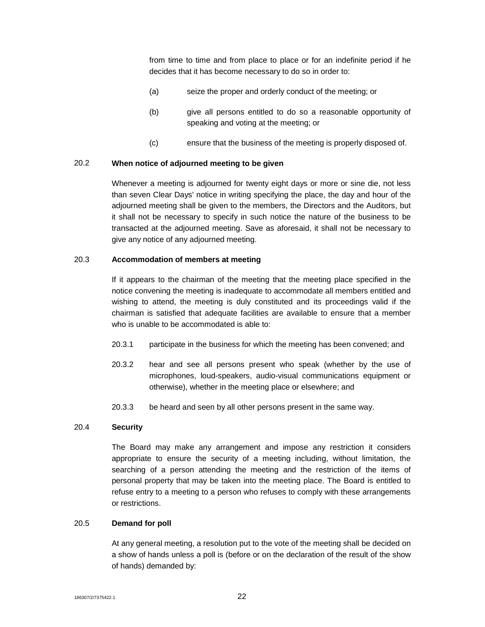from time to time and from place to place or for an indefinite period if he decides that it has become necessary to do so in order to:

- (a) seize the proper and orderly conduct of the meeting; or
- (b) give all persons entitled to do so a reasonable opportunity of speaking and voting at the meeting; or
- (c) ensure that the business of the meeting is properly disposed of.

# 20.2 **When notice of adjourned meeting to be given**

Whenever a meeting is adjourned for twenty eight days or more or sine die, not less than seven Clear Days' notice in writing specifying the place, the day and hour of the adjourned meeting shall be given to the members, the Directors and the Auditors, but it shall not be necessary to specify in such notice the nature of the business to be transacted at the adjourned meeting. Save as aforesaid, it shall not be necessary to give any notice of any adjourned meeting.

# 20.3 **Accommodation of members at meeting**

If it appears to the chairman of the meeting that the meeting place specified in the notice convening the meeting is inadequate to accommodate all members entitled and wishing to attend, the meeting is duly constituted and its proceedings valid if the chairman is satisfied that adequate facilities are available to ensure that a member who is unable to be accommodated is able to:

- 20.3.1 participate in the business for which the meeting has been convened; and
- 20.3.2 hear and see all persons present who speak (whether by the use of microphones, loud-speakers, audio-visual communications equipment or otherwise), whether in the meeting place or elsewhere; and
- 20.3.3 be heard and seen by all other persons present in the same way.

# 20.4 **Security**

The Board may make any arrangement and impose any restriction it considers appropriate to ensure the security of a meeting including, without limitation, the searching of a person attending the meeting and the restriction of the items of personal property that may be taken into the meeting place. The Board is entitled to refuse entry to a meeting to a person who refuses to comply with these arrangements or restrictions.

#### 20.5 **Demand for poll**

At any general meeting, a resolution put to the vote of the meeting shall be decided on a show of hands unless a poll is (before or on the declaration of the result of the show of hands) demanded by: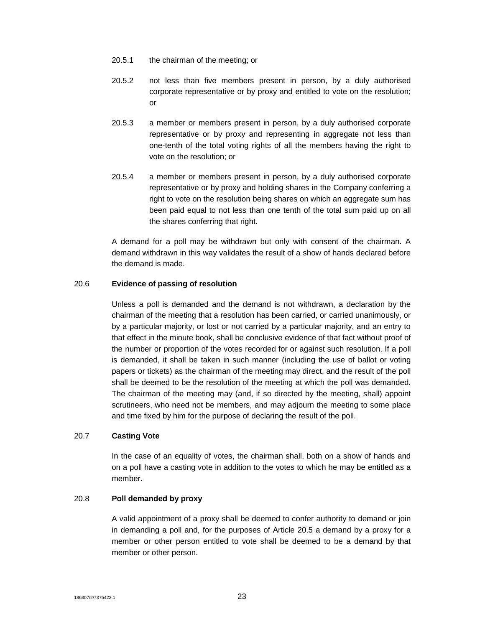- 20.5.1 the chairman of the meeting; or
- 20.5.2 not less than five members present in person, by a duly authorised corporate representative or by proxy and entitled to vote on the resolution; or
- 20.5.3 a member or members present in person, by a duly authorised corporate representative or by proxy and representing in aggregate not less than one-tenth of the total voting rights of all the members having the right to vote on the resolution; or
- 20.5.4 a member or members present in person, by a duly authorised corporate representative or by proxy and holding shares in the Company conferring a right to vote on the resolution being shares on which an aggregate sum has been paid equal to not less than one tenth of the total sum paid up on all the shares conferring that right.

A demand for a poll may be withdrawn but only with consent of the chairman. A demand withdrawn in this way validates the result of a show of hands declared before the demand is made.

#### 20.6 **Evidence of passing of resolution**

Unless a poll is demanded and the demand is not withdrawn, a declaration by the chairman of the meeting that a resolution has been carried, or carried unanimously, or by a particular majority, or lost or not carried by a particular majority, and an entry to that effect in the minute book, shall be conclusive evidence of that fact without proof of the number or proportion of the votes recorded for or against such resolution. If a poll is demanded, it shall be taken in such manner (including the use of ballot or voting papers or tickets) as the chairman of the meeting may direct, and the result of the poll shall be deemed to be the resolution of the meeting at which the poll was demanded. The chairman of the meeting may (and, if so directed by the meeting, shall) appoint scrutineers, who need not be members, and may adjourn the meeting to some place and time fixed by him for the purpose of declaring the result of the poll.

# 20.7 **Casting Vote**

In the case of an equality of votes, the chairman shall, both on a show of hands and on a poll have a casting vote in addition to the votes to which he may be entitled as a member.

## 20.8 **Poll demanded by proxy**

A valid appointment of a proxy shall be deemed to confer authority to demand or join in demanding a poll and, for the purposes of Article 20.5 a demand by a proxy for a member or other person entitled to vote shall be deemed to be a demand by that member or other person.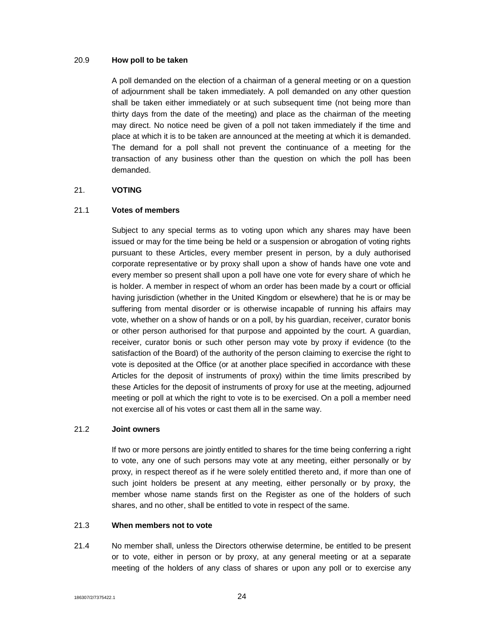#### 20.9 **How poll to be taken**

A poll demanded on the election of a chairman of a general meeting or on a question of adjournment shall be taken immediately. A poll demanded on any other question shall be taken either immediately or at such subsequent time (not being more than thirty days from the date of the meeting) and place as the chairman of the meeting may direct. No notice need be given of a poll not taken immediately if the time and place at which it is to be taken are announced at the meeting at which it is demanded. The demand for a poll shall not prevent the continuance of a meeting for the transaction of any business other than the question on which the poll has been demanded.

#### 21. **VOTING**

# 21.1 **Votes of members**

Subject to any special terms as to voting upon which any shares may have been issued or may for the time being be held or a suspension or abrogation of voting rights pursuant to these Articles, every member present in person, by a duly authorised corporate representative or by proxy shall upon a show of hands have one vote and every member so present shall upon a poll have one vote for every share of which he is holder. A member in respect of whom an order has been made by a court or official having jurisdiction (whether in the United Kingdom or elsewhere) that he is or may be suffering from mental disorder or is otherwise incapable of running his affairs may vote, whether on a show of hands or on a poll, by his guardian, receiver, curator bonis or other person authorised for that purpose and appointed by the court. A guardian, receiver, curator bonis or such other person may vote by proxy if evidence (to the satisfaction of the Board) of the authority of the person claiming to exercise the right to vote is deposited at the Office (or at another place specified in accordance with these Articles for the deposit of instruments of proxy) within the time limits prescribed by these Articles for the deposit of instruments of proxy for use at the meeting, adjourned meeting or poll at which the right to vote is to be exercised. On a poll a member need not exercise all of his votes or cast them all in the same way.

#### 21.2 **Joint owners**

If two or more persons are jointly entitled to shares for the time being conferring a right to vote, any one of such persons may vote at any meeting, either personally or by proxy, in respect thereof as if he were solely entitled thereto and, if more than one of such joint holders be present at any meeting, either personally or by proxy, the member whose name stands first on the Register as one of the holders of such shares, and no other, shall be entitled to vote in respect of the same.

#### 21.3 **When members not to vote**

21.4 No member shall, unless the Directors otherwise determine, be entitled to be present or to vote, either in person or by proxy, at any general meeting or at a separate meeting of the holders of any class of shares or upon any poll or to exercise any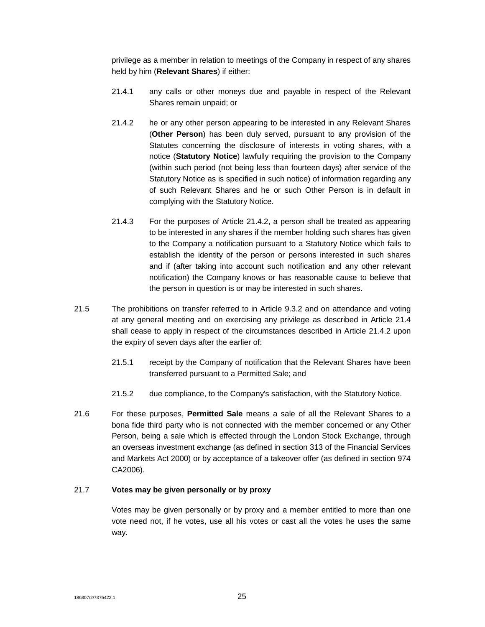privilege as a member in relation to meetings of the Company in respect of any shares held by him (**Relevant Shares**) if either:

- 21.4.1 any calls or other moneys due and payable in respect of the Relevant Shares remain unpaid; or
- 21.4.2 he or any other person appearing to be interested in any Relevant Shares (**Other Person**) has been duly served, pursuant to any provision of the Statutes concerning the disclosure of interests in voting shares, with a notice (**Statutory Notice**) lawfully requiring the provision to the Company (within such period (not being less than fourteen days) after service of the Statutory Notice as is specified in such notice) of information regarding any of such Relevant Shares and he or such Other Person is in default in complying with the Statutory Notice.
- 21.4.3 For the purposes of Article 21.4.2, a person shall be treated as appearing to be interested in any shares if the member holding such shares has given to the Company a notification pursuant to a Statutory Notice which fails to establish the identity of the person or persons interested in such shares and if (after taking into account such notification and any other relevant notification) the Company knows or has reasonable cause to believe that the person in question is or may be interested in such shares.
- 21.5 The prohibitions on transfer referred to in Article 9.3.2 and on attendance and voting at any general meeting and on exercising any privilege as described in Article 21.4 shall cease to apply in respect of the circumstances described in Article 21.4.2 upon the expiry of seven days after the earlier of:
	- 21.5.1 receipt by the Company of notification that the Relevant Shares have been transferred pursuant to a Permitted Sale; and
	- 21.5.2 due compliance, to the Company's satisfaction, with the Statutory Notice.
- 21.6 For these purposes, **Permitted Sale** means a sale of all the Relevant Shares to a bona fide third party who is not connected with the member concerned or any Other Person, being a sale which is effected through the London Stock Exchange, through an overseas investment exchange (as defined in section 313 of the Financial Services and Markets Act 2000) or by acceptance of a takeover offer (as defined in section 974 CA2006).

## 21.7 **Votes may be given personally or by proxy**

Votes may be given personally or by proxy and a member entitled to more than one vote need not, if he votes, use all his votes or cast all the votes he uses the same way.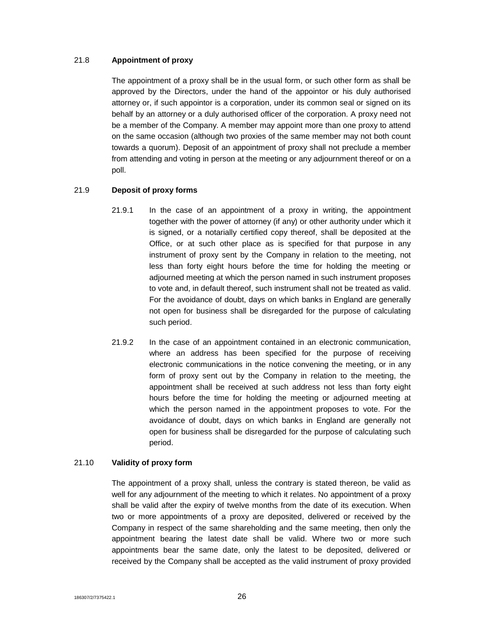## 21.8 **Appointment of proxy**

The appointment of a proxy shall be in the usual form, or such other form as shall be approved by the Directors, under the hand of the appointor or his duly authorised attorney or, if such appointor is a corporation, under its common seal or signed on its behalf by an attorney or a duly authorised officer of the corporation. A proxy need not be a member of the Company. A member may appoint more than one proxy to attend on the same occasion (although two proxies of the same member may not both count towards a quorum). Deposit of an appointment of proxy shall not preclude a member from attending and voting in person at the meeting or any adjournment thereof or on a poll.

# 21.9 **Deposit of proxy forms**

- 21.9.1 In the case of an appointment of a proxy in writing, the appointment together with the power of attorney (if any) or other authority under which it is signed, or a notarially certified copy thereof, shall be deposited at the Office, or at such other place as is specified for that purpose in any instrument of proxy sent by the Company in relation to the meeting, not less than forty eight hours before the time for holding the meeting or adjourned meeting at which the person named in such instrument proposes to vote and, in default thereof, such instrument shall not be treated as valid. For the avoidance of doubt, days on which banks in England are generally not open for business shall be disregarded for the purpose of calculating such period.
- 21.9.2 In the case of an appointment contained in an electronic communication, where an address has been specified for the purpose of receiving electronic communications in the notice convening the meeting, or in any form of proxy sent out by the Company in relation to the meeting, the appointment shall be received at such address not less than forty eight hours before the time for holding the meeting or adjourned meeting at which the person named in the appointment proposes to vote. For the avoidance of doubt, days on which banks in England are generally not open for business shall be disregarded for the purpose of calculating such period.

# 21.10 **Validity of proxy form**

The appointment of a proxy shall, unless the contrary is stated thereon, be valid as well for any adjournment of the meeting to which it relates. No appointment of a proxy shall be valid after the expiry of twelve months from the date of its execution. When two or more appointments of a proxy are deposited, delivered or received by the Company in respect of the same shareholding and the same meeting, then only the appointment bearing the latest date shall be valid. Where two or more such appointments bear the same date, only the latest to be deposited, delivered or received by the Company shall be accepted as the valid instrument of proxy provided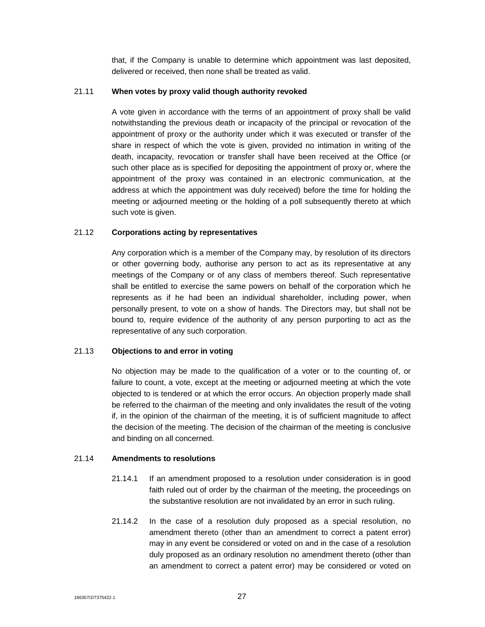that, if the Company is unable to determine which appointment was last deposited, delivered or received, then none shall be treated as valid.

#### 21.11 **When votes by proxy valid though authority revoked**

A vote given in accordance with the terms of an appointment of proxy shall be valid notwithstanding the previous death or incapacity of the principal or revocation of the appointment of proxy or the authority under which it was executed or transfer of the share in respect of which the vote is given, provided no intimation in writing of the death, incapacity, revocation or transfer shall have been received at the Office (or such other place as is specified for depositing the appointment of proxy or, where the appointment of the proxy was contained in an electronic communication, at the address at which the appointment was duly received) before the time for holding the meeting or adjourned meeting or the holding of a poll subsequently thereto at which such vote is given.

#### 21.12 **Corporations acting by representatives**

Any corporation which is a member of the Company may, by resolution of its directors or other governing body, authorise any person to act as its representative at any meetings of the Company or of any class of members thereof. Such representative shall be entitled to exercise the same powers on behalf of the corporation which he represents as if he had been an individual shareholder, including power, when personally present, to vote on a show of hands. The Directors may, but shall not be bound to, require evidence of the authority of any person purporting to act as the representative of any such corporation.

#### 21.13 **Objections to and error in voting**

No objection may be made to the qualification of a voter or to the counting of, or failure to count, a vote, except at the meeting or adjourned meeting at which the vote objected to is tendered or at which the error occurs. An objection properly made shall be referred to the chairman of the meeting and only invalidates the result of the voting if, in the opinion of the chairman of the meeting, it is of sufficient magnitude to affect the decision of the meeting. The decision of the chairman of the meeting is conclusive and binding on all concerned.

#### 21.14 **Amendments to resolutions**

- 21.14.1 If an amendment proposed to a resolution under consideration is in good faith ruled out of order by the chairman of the meeting, the proceedings on the substantive resolution are not invalidated by an error in such ruling.
- 21.14.2 In the case of a resolution duly proposed as a special resolution, no amendment thereto (other than an amendment to correct a patent error) may in any event be considered or voted on and in the case of a resolution duly proposed as an ordinary resolution no amendment thereto (other than an amendment to correct a patent error) may be considered or voted on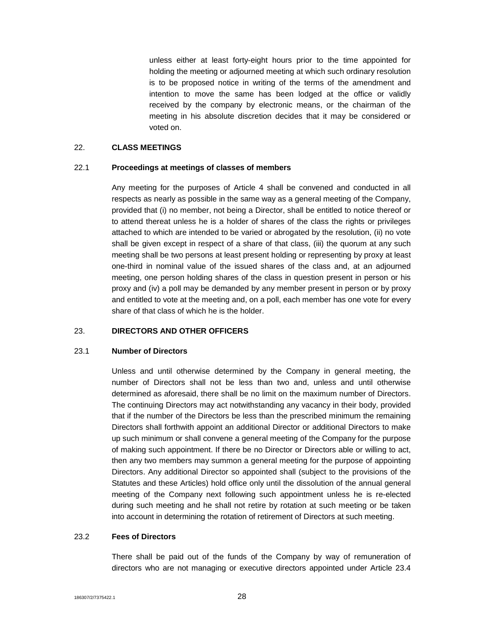unless either at least forty-eight hours prior to the time appointed for holding the meeting or adjourned meeting at which such ordinary resolution is to be proposed notice in writing of the terms of the amendment and intention to move the same has been lodged at the office or validly received by the company by electronic means, or the chairman of the meeting in his absolute discretion decides that it may be considered or voted on.

#### 22. **CLASS MEETINGS**

#### 22.1 **Proceedings at meetings of classes of members**

Any meeting for the purposes of Article 4 shall be convened and conducted in all respects as nearly as possible in the same way as a general meeting of the Company, provided that (i) no member, not being a Director, shall be entitled to notice thereof or to attend thereat unless he is a holder of shares of the class the rights or privileges attached to which are intended to be varied or abrogated by the resolution, (ii) no vote shall be given except in respect of a share of that class, (iii) the quorum at any such meeting shall be two persons at least present holding or representing by proxy at least one-third in nominal value of the issued shares of the class and, at an adjourned meeting, one person holding shares of the class in question present in person or his proxy and (iv) a poll may be demanded by any member present in person or by proxy and entitled to vote at the meeting and, on a poll, each member has one vote for every share of that class of which he is the holder.

# 23. **DIRECTORS AND OTHER OFFICERS**

#### 23.1 **Number of Directors**

Unless and until otherwise determined by the Company in general meeting, the number of Directors shall not be less than two and, unless and until otherwise determined as aforesaid, there shall be no limit on the maximum number of Directors. The continuing Directors may act notwithstanding any vacancy in their body, provided that if the number of the Directors be less than the prescribed minimum the remaining Directors shall forthwith appoint an additional Director or additional Directors to make up such minimum or shall convene a general meeting of the Company for the purpose of making such appointment. If there be no Director or Directors able or willing to act, then any two members may summon a general meeting for the purpose of appointing Directors. Any additional Director so appointed shall (subject to the provisions of the Statutes and these Articles) hold office only until the dissolution of the annual general meeting of the Company next following such appointment unless he is re-elected during such meeting and he shall not retire by rotation at such meeting or be taken into account in determining the rotation of retirement of Directors at such meeting.

# 23.2 **Fees of Directors**

There shall be paid out of the funds of the Company by way of remuneration of directors who are not managing or executive directors appointed under Article 23.4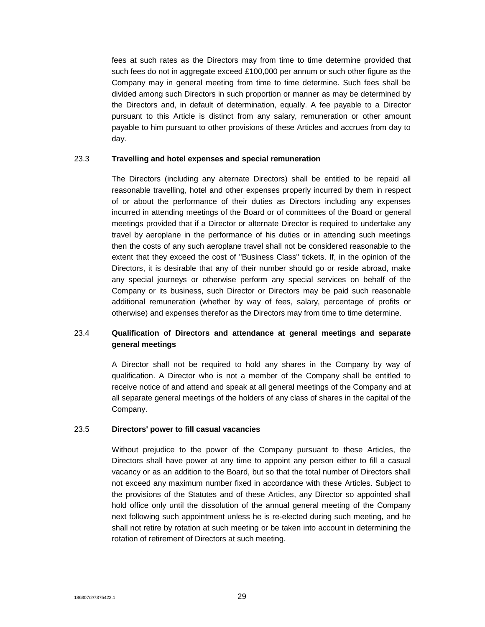fees at such rates as the Directors may from time to time determine provided that such fees do not in aggregate exceed £100,000 per annum or such other figure as the Company may in general meeting from time to time determine. Such fees shall be divided among such Directors in such proportion or manner as may be determined by the Directors and, in default of determination, equally. A fee payable to a Director pursuant to this Article is distinct from any salary, remuneration or other amount payable to him pursuant to other provisions of these Articles and accrues from day to day.

#### 23.3 **Travelling and hotel expenses and special remuneration**

The Directors (including any alternate Directors) shall be entitled to be repaid all reasonable travelling, hotel and other expenses properly incurred by them in respect of or about the performance of their duties as Directors including any expenses incurred in attending meetings of the Board or of committees of the Board or general meetings provided that if a Director or alternate Director is required to undertake any travel by aeroplane in the performance of his duties or in attending such meetings then the costs of any such aeroplane travel shall not be considered reasonable to the extent that they exceed the cost of "Business Class" tickets. If, in the opinion of the Directors, it is desirable that any of their number should go or reside abroad, make any special journeys or otherwise perform any special services on behalf of the Company or its business, such Director or Directors may be paid such reasonable additional remuneration (whether by way of fees, salary, percentage of profits or otherwise) and expenses therefor as the Directors may from time to time determine.

# 23.4 **Qualification of Directors and attendance at general meetings and separate general meetings**

A Director shall not be required to hold any shares in the Company by way of qualification. A Director who is not a member of the Company shall be entitled to receive notice of and attend and speak at all general meetings of the Company and at all separate general meetings of the holders of any class of shares in the capital of the Company.

#### 23.5 **Directors' power to fill casual vacancies**

Without prejudice to the power of the Company pursuant to these Articles, the Directors shall have power at any time to appoint any person either to fill a casual vacancy or as an addition to the Board, but so that the total number of Directors shall not exceed any maximum number fixed in accordance with these Articles. Subject to the provisions of the Statutes and of these Articles, any Director so appointed shall hold office only until the dissolution of the annual general meeting of the Company next following such appointment unless he is re-elected during such meeting, and he shall not retire by rotation at such meeting or be taken into account in determining the rotation of retirement of Directors at such meeting.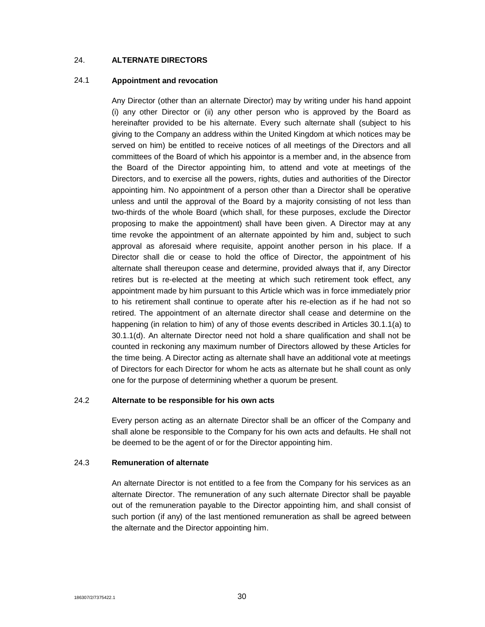# 24. **ALTERNATE DIRECTORS**

#### 24.1 **Appointment and revocation**

Any Director (other than an alternate Director) may by writing under his hand appoint (i) any other Director or (ii) any other person who is approved by the Board as hereinafter provided to be his alternate. Every such alternate shall (subject to his giving to the Company an address within the United Kingdom at which notices may be served on him) be entitled to receive notices of all meetings of the Directors and all committees of the Board of which his appointor is a member and, in the absence from the Board of the Director appointing him, to attend and vote at meetings of the Directors, and to exercise all the powers, rights, duties and authorities of the Director appointing him. No appointment of a person other than a Director shall be operative unless and until the approval of the Board by a majority consisting of not less than two-thirds of the whole Board (which shall, for these purposes, exclude the Director proposing to make the appointment) shall have been given. A Director may at any time revoke the appointment of an alternate appointed by him and, subject to such approval as aforesaid where requisite, appoint another person in his place. If a Director shall die or cease to hold the office of Director, the appointment of his alternate shall thereupon cease and determine, provided always that if, any Director retires but is re-elected at the meeting at which such retirement took effect, any appointment made by him pursuant to this Article which was in force immediately prior to his retirement shall continue to operate after his re-election as if he had not so retired. The appointment of an alternate director shall cease and determine on the happening (in relation to him) of any of those events described in Articles 30.1.1(a) to 30.1.1(d). An alternate Director need not hold a share qualification and shall not be counted in reckoning any maximum number of Directors allowed by these Articles for the time being. A Director acting as alternate shall have an additional vote at meetings of Directors for each Director for whom he acts as alternate but he shall count as only one for the purpose of determining whether a quorum be present.

# 24.2 **Alternate to be responsible for his own acts**

Every person acting as an alternate Director shall be an officer of the Company and shall alone be responsible to the Company for his own acts and defaults. He shall not be deemed to be the agent of or for the Director appointing him.

# 24.3 **Remuneration of alternate**

An alternate Director is not entitled to a fee from the Company for his services as an alternate Director. The remuneration of any such alternate Director shall be payable out of the remuneration payable to the Director appointing him, and shall consist of such portion (if any) of the last mentioned remuneration as shall be agreed between the alternate and the Director appointing him.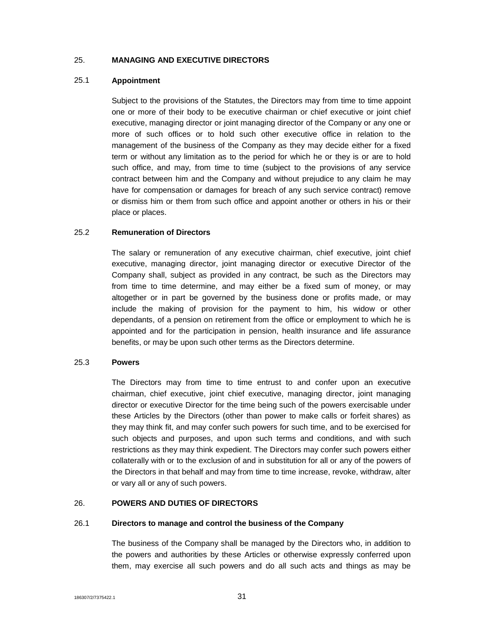## 25. **MANAGING AND EXECUTIVE DIRECTORS**

#### 25.1 **Appointment**

Subject to the provisions of the Statutes, the Directors may from time to time appoint one or more of their body to be executive chairman or chief executive or joint chief executive, managing director or joint managing director of the Company or any one or more of such offices or to hold such other executive office in relation to the management of the business of the Company as they may decide either for a fixed term or without any limitation as to the period for which he or they is or are to hold such office, and may, from time to time (subject to the provisions of any service contract between him and the Company and without prejudice to any claim he may have for compensation or damages for breach of any such service contract) remove or dismiss him or them from such office and appoint another or others in his or their place or places.

#### 25.2 **Remuneration of Directors**

The salary or remuneration of any executive chairman, chief executive, joint chief executive, managing director, joint managing director or executive Director of the Company shall, subject as provided in any contract, be such as the Directors may from time to time determine, and may either be a fixed sum of money, or may altogether or in part be governed by the business done or profits made, or may include the making of provision for the payment to him, his widow or other dependants, of a pension on retirement from the office or employment to which he is appointed and for the participation in pension, health insurance and life assurance benefits, or may be upon such other terms as the Directors determine.

#### 25.3 **Powers**

The Directors may from time to time entrust to and confer upon an executive chairman, chief executive, joint chief executive, managing director, joint managing director or executive Director for the time being such of the powers exercisable under these Articles by the Directors (other than power to make calls or forfeit shares) as they may think fit, and may confer such powers for such time, and to be exercised for such objects and purposes, and upon such terms and conditions, and with such restrictions as they may think expedient. The Directors may confer such powers either collaterally with or to the exclusion of and in substitution for all or any of the powers of the Directors in that behalf and may from time to time increase, revoke, withdraw, alter or vary all or any of such powers.

# 26. **POWERS AND DUTIES OF DIRECTORS**

#### 26.1 **Directors to manage and control the business of the Company**

The business of the Company shall be managed by the Directors who, in addition to the powers and authorities by these Articles or otherwise expressly conferred upon them, may exercise all such powers and do all such acts and things as may be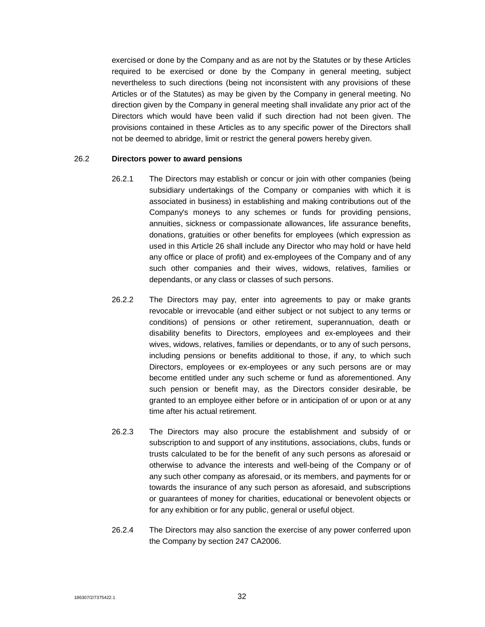exercised or done by the Company and as are not by the Statutes or by these Articles required to be exercised or done by the Company in general meeting, subject nevertheless to such directions (being not inconsistent with any provisions of these Articles or of the Statutes) as may be given by the Company in general meeting. No direction given by the Company in general meeting shall invalidate any prior act of the Directors which would have been valid if such direction had not been given. The provisions contained in these Articles as to any specific power of the Directors shall not be deemed to abridge, limit or restrict the general powers hereby given.

#### 26.2 **Directors power to award pensions**

- 26.2.1 The Directors may establish or concur or join with other companies (being subsidiary undertakings of the Company or companies with which it is associated in business) in establishing and making contributions out of the Company's moneys to any schemes or funds for providing pensions, annuities, sickness or compassionate allowances, life assurance benefits, donations, gratuities or other benefits for employees (which expression as used in this Article 26 shall include any Director who may hold or have held any office or place of profit) and ex-employees of the Company and of any such other companies and their wives, widows, relatives, families or dependants, or any class or classes of such persons.
- 26.2.2 The Directors may pay, enter into agreements to pay or make grants revocable or irrevocable (and either subject or not subject to any terms or conditions) of pensions or other retirement, superannuation, death or disability benefits to Directors, employees and ex-employees and their wives, widows, relatives, families or dependants, or to any of such persons, including pensions or benefits additional to those, if any, to which such Directors, employees or ex-employees or any such persons are or may become entitled under any such scheme or fund as aforementioned. Any such pension or benefit may, as the Directors consider desirable, be granted to an employee either before or in anticipation of or upon or at any time after his actual retirement.
- 26.2.3 The Directors may also procure the establishment and subsidy of or subscription to and support of any institutions, associations, clubs, funds or trusts calculated to be for the benefit of any such persons as aforesaid or otherwise to advance the interests and well-being of the Company or of any such other company as aforesaid, or its members, and payments for or towards the insurance of any such person as aforesaid, and subscriptions or guarantees of money for charities, educational or benevolent objects or for any exhibition or for any public, general or useful object.
- 26.2.4 The Directors may also sanction the exercise of any power conferred upon the Company by section 247 CA2006.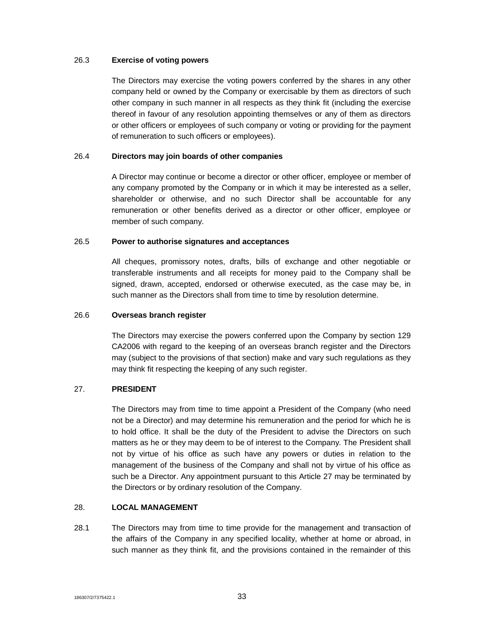#### 26.3 **Exercise of voting powers**

The Directors may exercise the voting powers conferred by the shares in any other company held or owned by the Company or exercisable by them as directors of such other company in such manner in all respects as they think fit (including the exercise thereof in favour of any resolution appointing themselves or any of them as directors or other officers or employees of such company or voting or providing for the payment of remuneration to such officers or employees).

# 26.4 **Directors may join boards of other companies**

A Director may continue or become a director or other officer, employee or member of any company promoted by the Company or in which it may be interested as a seller, shareholder or otherwise, and no such Director shall be accountable for any remuneration or other benefits derived as a director or other officer, employee or member of such company.

#### 26.5 **Power to authorise signatures and acceptances**

All cheques, promissory notes, drafts, bills of exchange and other negotiable or transferable instruments and all receipts for money paid to the Company shall be signed, drawn, accepted, endorsed or otherwise executed, as the case may be, in such manner as the Directors shall from time to time by resolution determine.

#### 26.6 **Overseas branch register**

The Directors may exercise the powers conferred upon the Company by section 129 CA2006 with regard to the keeping of an overseas branch register and the Directors may (subject to the provisions of that section) make and vary such regulations as they may think fit respecting the keeping of any such register.

#### 27. **PRESIDENT**

The Directors may from time to time appoint a President of the Company (who need not be a Director) and may determine his remuneration and the period for which he is to hold office. It shall be the duty of the President to advise the Directors on such matters as he or they may deem to be of interest to the Company. The President shall not by virtue of his office as such have any powers or duties in relation to the management of the business of the Company and shall not by virtue of his office as such be a Director. Any appointment pursuant to this Article 27 may be terminated by the Directors or by ordinary resolution of the Company.

#### 28. **LOCAL MANAGEMENT**

28.1 The Directors may from time to time provide for the management and transaction of the affairs of the Company in any specified locality, whether at home or abroad, in such manner as they think fit, and the provisions contained in the remainder of this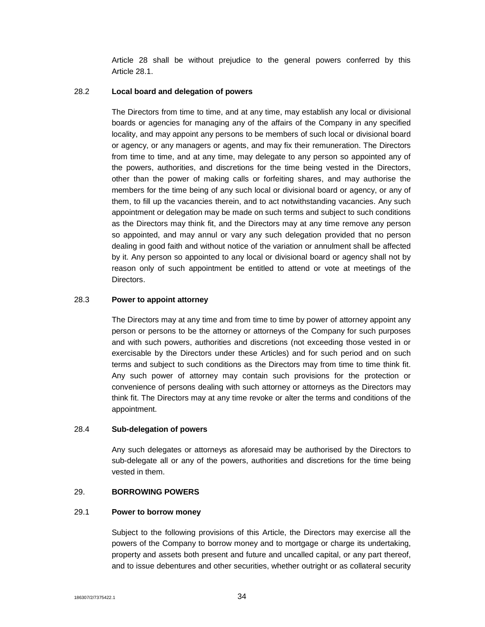Article 28 shall be without prejudice to the general powers conferred by this Article 28.1.

#### 28.2 **Local board and delegation of powers**

The Directors from time to time, and at any time, may establish any local or divisional boards or agencies for managing any of the affairs of the Company in any specified locality, and may appoint any persons to be members of such local or divisional board or agency, or any managers or agents, and may fix their remuneration. The Directors from time to time, and at any time, may delegate to any person so appointed any of the powers, authorities, and discretions for the time being vested in the Directors, other than the power of making calls or forfeiting shares, and may authorise the members for the time being of any such local or divisional board or agency, or any of them, to fill up the vacancies therein, and to act notwithstanding vacancies. Any such appointment or delegation may be made on such terms and subject to such conditions as the Directors may think fit, and the Directors may at any time remove any person so appointed, and may annul or vary any such delegation provided that no person dealing in good faith and without notice of the variation or annulment shall be affected by it. Any person so appointed to any local or divisional board or agency shall not by reason only of such appointment be entitled to attend or vote at meetings of the Directors.

#### 28.3 **Power to appoint attorney**

The Directors may at any time and from time to time by power of attorney appoint any person or persons to be the attorney or attorneys of the Company for such purposes and with such powers, authorities and discretions (not exceeding those vested in or exercisable by the Directors under these Articles) and for such period and on such terms and subject to such conditions as the Directors may from time to time think fit. Any such power of attorney may contain such provisions for the protection or convenience of persons dealing with such attorney or attorneys as the Directors may think fit. The Directors may at any time revoke or alter the terms and conditions of the appointment.

#### 28.4 **Sub-delegation of powers**

Any such delegates or attorneys as aforesaid may be authorised by the Directors to sub-delegate all or any of the powers, authorities and discretions for the time being vested in them.

# 29. **BORROWING POWERS**

#### 29.1 **Power to borrow money**

Subject to the following provisions of this Article, the Directors may exercise all the powers of the Company to borrow money and to mortgage or charge its undertaking, property and assets both present and future and uncalled capital, or any part thereof, and to issue debentures and other securities, whether outright or as collateral security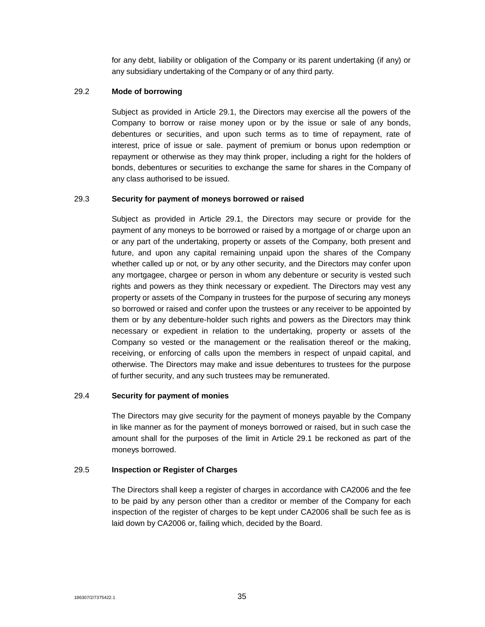for any debt, liability or obligation of the Company or its parent undertaking (if any) or any subsidiary undertaking of the Company or of any third party.

# 29.2 **Mode of borrowing**

Subject as provided in Article 29.1, the Directors may exercise all the powers of the Company to borrow or raise money upon or by the issue or sale of any bonds, debentures or securities, and upon such terms as to time of repayment, rate of interest, price of issue or sale. payment of premium or bonus upon redemption or repayment or otherwise as they may think proper, including a right for the holders of bonds, debentures or securities to exchange the same for shares in the Company of any class authorised to be issued.

# 29.3 **Security for payment of moneys borrowed or raised**

Subject as provided in Article 29.1, the Directors may secure or provide for the payment of any moneys to be borrowed or raised by a mortgage of or charge upon an or any part of the undertaking, property or assets of the Company, both present and future, and upon any capital remaining unpaid upon the shares of the Company whether called up or not, or by any other security, and the Directors may confer upon any mortgagee, chargee or person in whom any debenture or security is vested such rights and powers as they think necessary or expedient. The Directors may vest any property or assets of the Company in trustees for the purpose of securing any moneys so borrowed or raised and confer upon the trustees or any receiver to be appointed by them or by any debenture-holder such rights and powers as the Directors may think necessary or expedient in relation to the undertaking, property or assets of the Company so vested or the management or the realisation thereof or the making, receiving, or enforcing of calls upon the members in respect of unpaid capital, and otherwise. The Directors may make and issue debentures to trustees for the purpose of further security, and any such trustees may be remunerated.

#### 29.4 **Security for payment of monies**

The Directors may give security for the payment of moneys payable by the Company in like manner as for the payment of moneys borrowed or raised, but in such case the amount shall for the purposes of the limit in Article 29.1 be reckoned as part of the moneys borrowed.

# 29.5 **Inspection or Register of Charges**

The Directors shall keep a register of charges in accordance with CA2006 and the fee to be paid by any person other than a creditor or member of the Company for each inspection of the register of charges to be kept under CA2006 shall be such fee as is laid down by CA2006 or, failing which, decided by the Board.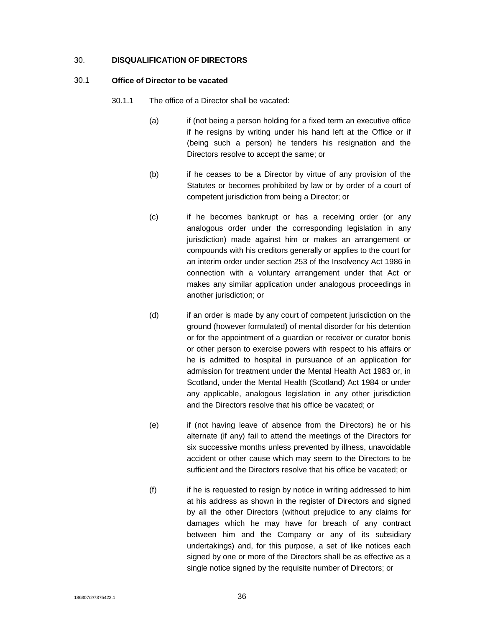#### 30. **DISQUALIFICATION OF DIRECTORS**

#### 30.1 **Office of Director to be vacated**

- 30.1.1 The office of a Director shall be vacated:
	- (a) if (not being a person holding for a fixed term an executive office if he resigns by writing under his hand left at the Office or if (being such a person) he tenders his resignation and the Directors resolve to accept the same; or
	- (b) if he ceases to be a Director by virtue of any provision of the Statutes or becomes prohibited by law or by order of a court of competent jurisdiction from being a Director; or
	- (c) if he becomes bankrupt or has a receiving order (or any analogous order under the corresponding legislation in any jurisdiction) made against him or makes an arrangement or compounds with his creditors generally or applies to the court for an interim order under section 253 of the Insolvency Act 1986 in connection with a voluntary arrangement under that Act or makes any similar application under analogous proceedings in another jurisdiction; or
	- (d) if an order is made by any court of competent jurisdiction on the ground (however formulated) of mental disorder for his detention or for the appointment of a guardian or receiver or curator bonis or other person to exercise powers with respect to his affairs or he is admitted to hospital in pursuance of an application for admission for treatment under the Mental Health Act 1983 or, in Scotland, under the Mental Health (Scotland) Act 1984 or under any applicable, analogous legislation in any other jurisdiction and the Directors resolve that his office be vacated; or
	- (e) if (not having leave of absence from the Directors) he or his alternate (if any) fail to attend the meetings of the Directors for six successive months unless prevented by illness, unavoidable accident or other cause which may seem to the Directors to be sufficient and the Directors resolve that his office be vacated; or
	- (f) if he is requested to resign by notice in writing addressed to him at his address as shown in the register of Directors and signed by all the other Directors (without prejudice to any claims for damages which he may have for breach of any contract between him and the Company or any of its subsidiary undertakings) and, for this purpose, a set of like notices each signed by one or more of the Directors shall be as effective as a single notice signed by the requisite number of Directors; or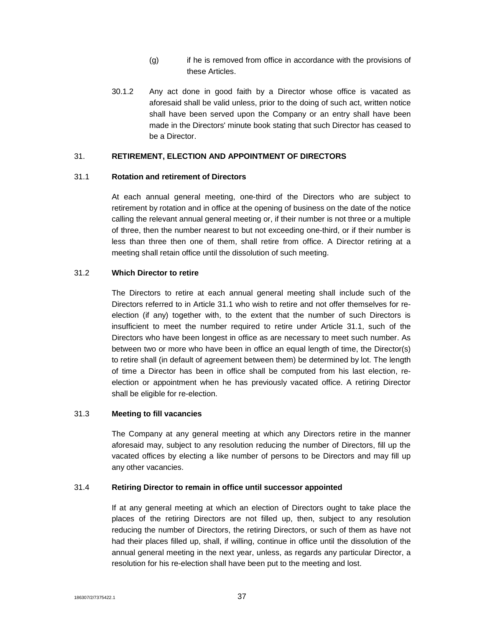- (g) if he is removed from office in accordance with the provisions of these Articles.
- 30.1.2 Any act done in good faith by a Director whose office is vacated as aforesaid shall be valid unless, prior to the doing of such act, written notice shall have been served upon the Company or an entry shall have been made in the Directors' minute book stating that such Director has ceased to be a Director.

#### 31. **RETIREMENT, ELECTION AND APPOINTMENT OF DIRECTORS**

#### 31.1 **Rotation and retirement of Directors**

At each annual general meeting, one-third of the Directors who are subject to retirement by rotation and in office at the opening of business on the date of the notice calling the relevant annual general meeting or, if their number is not three or a multiple of three, then the number nearest to but not exceeding one-third, or if their number is less than three then one of them, shall retire from office. A Director retiring at a meeting shall retain office until the dissolution of such meeting.

#### 31.2 **Which Director to retire**

The Directors to retire at each annual general meeting shall include such of the Directors referred to in Article 31.1 who wish to retire and not offer themselves for reelection (if any) together with, to the extent that the number of such Directors is insufficient to meet the number required to retire under Article 31.1, such of the Directors who have been longest in office as are necessary to meet such number. As between two or more who have been in office an equal length of time, the Director(s) to retire shall (in default of agreement between them) be determined by lot. The length of time a Director has been in office shall be computed from his last election, reelection or appointment when he has previously vacated office. A retiring Director shall be eligible for re-election.

#### 31.3 **Meeting to fill vacancies**

The Company at any general meeting at which any Directors retire in the manner aforesaid may, subject to any resolution reducing the number of Directors, fill up the vacated offices by electing a like number of persons to be Directors and may fill up any other vacancies.

#### 31.4 **Retiring Director to remain in office until successor appointed**

If at any general meeting at which an election of Directors ought to take place the places of the retiring Directors are not filled up, then, subject to any resolution reducing the number of Directors, the retiring Directors, or such of them as have not had their places filled up, shall, if willing, continue in office until the dissolution of the annual general meeting in the next year, unless, as regards any particular Director, a resolution for his re-election shall have been put to the meeting and lost.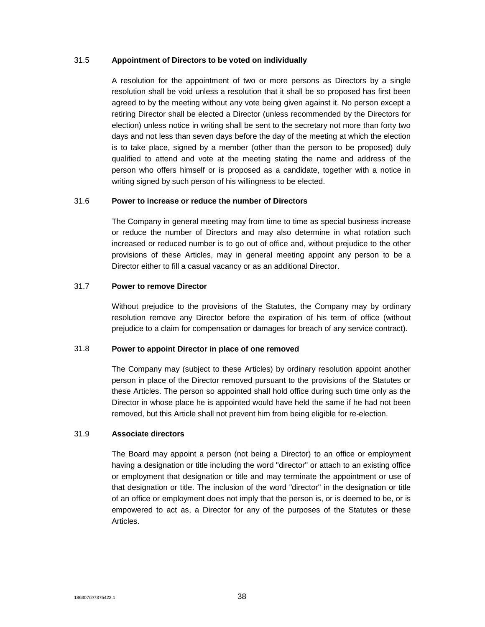#### 31.5 **Appointment of Directors to be voted on individually**

A resolution for the appointment of two or more persons as Directors by a single resolution shall be void unless a resolution that it shall be so proposed has first been agreed to by the meeting without any vote being given against it. No person except a retiring Director shall be elected a Director (unless recommended by the Directors for election) unless notice in writing shall be sent to the secretary not more than forty two days and not less than seven days before the day of the meeting at which the election is to take place, signed by a member (other than the person to be proposed) duly qualified to attend and vote at the meeting stating the name and address of the person who offers himself or is proposed as a candidate, together with a notice in writing signed by such person of his willingness to be elected.

# 31.6 **Power to increase or reduce the number of Directors**

The Company in general meeting may from time to time as special business increase or reduce the number of Directors and may also determine in what rotation such increased or reduced number is to go out of office and, without prejudice to the other provisions of these Articles, may in general meeting appoint any person to be a Director either to fill a casual vacancy or as an additional Director.

#### 31.7 **Power to remove Director**

Without prejudice to the provisions of the Statutes, the Company may by ordinary resolution remove any Director before the expiration of his term of office (without prejudice to a claim for compensation or damages for breach of any service contract).

# 31.8 **Power to appoint Director in place of one removed**

The Company may (subject to these Articles) by ordinary resolution appoint another person in place of the Director removed pursuant to the provisions of the Statutes or these Articles. The person so appointed shall hold office during such time only as the Director in whose place he is appointed would have held the same if he had not been removed, but this Article shall not prevent him from being eligible for re-election.

#### 31.9 **Associate directors**

The Board may appoint a person (not being a Director) to an office or employment having a designation or title including the word "director" or attach to an existing office or employment that designation or title and may terminate the appointment or use of that designation or title. The inclusion of the word "director" in the designation or title of an office or employment does not imply that the person is, or is deemed to be, or is empowered to act as, a Director for any of the purposes of the Statutes or these Articles.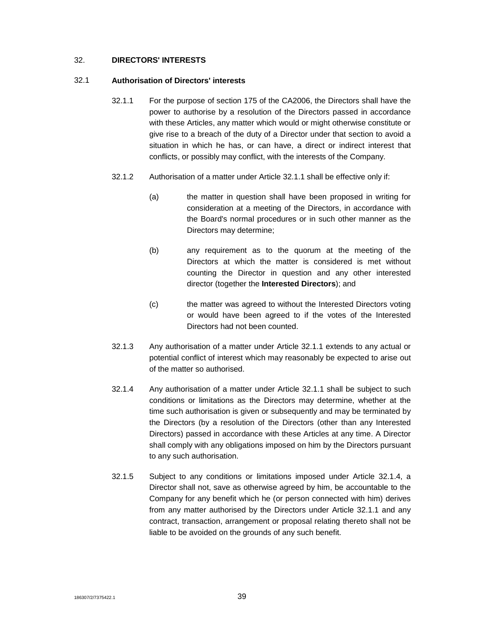# 32. **DIRECTORS' INTERESTS**

#### 32.1 **Authorisation of Directors' interests**

- 32.1.1 For the purpose of section 175 of the CA2006, the Directors shall have the power to authorise by a resolution of the Directors passed in accordance with these Articles, any matter which would or might otherwise constitute or give rise to a breach of the duty of a Director under that section to avoid a situation in which he has, or can have, a direct or indirect interest that conflicts, or possibly may conflict, with the interests of the Company.
- 32.1.2 Authorisation of a matter under Article 32.1.1 shall be effective only if:
	- (a) the matter in question shall have been proposed in writing for consideration at a meeting of the Directors, in accordance with the Board's normal procedures or in such other manner as the Directors may determine;
	- (b) any requirement as to the quorum at the meeting of the Directors at which the matter is considered is met without counting the Director in question and any other interested director (together the **Interested Directors**); and
	- (c) the matter was agreed to without the Interested Directors voting or would have been agreed to if the votes of the Interested Directors had not been counted.
- 32.1.3 Any authorisation of a matter under Article 32.1.1 extends to any actual or potential conflict of interest which may reasonably be expected to arise out of the matter so authorised.
- 32.1.4 Any authorisation of a matter under Article 32.1.1 shall be subject to such conditions or limitations as the Directors may determine, whether at the time such authorisation is given or subsequently and may be terminated by the Directors (by a resolution of the Directors (other than any Interested Directors) passed in accordance with these Articles at any time. A Director shall comply with any obligations imposed on him by the Directors pursuant to any such authorisation.
- 32.1.5 Subject to any conditions or limitations imposed under Article 32.1.4, a Director shall not, save as otherwise agreed by him, be accountable to the Company for any benefit which he (or person connected with him) derives from any matter authorised by the Directors under Article 32.1.1 and any contract, transaction, arrangement or proposal relating thereto shall not be liable to be avoided on the grounds of any such benefit.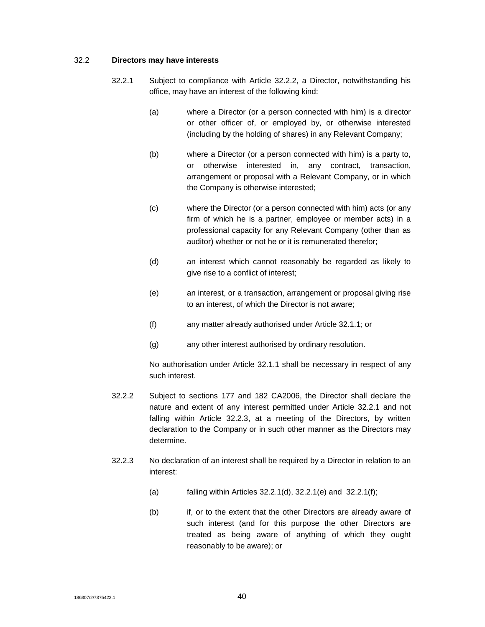#### 32.2 **Directors may have interests**

- 32.2.1 Subject to compliance with Article 32.2.2, a Director, notwithstanding his office, may have an interest of the following kind:
	- (a) where a Director (or a person connected with him) is a director or other officer of, or employed by, or otherwise interested (including by the holding of shares) in any Relevant Company;
	- (b) where a Director (or a person connected with him) is a party to, or otherwise interested in, any contract, transaction, arrangement or proposal with a Relevant Company, or in which the Company is otherwise interested;
	- (c) where the Director (or a person connected with him) acts (or any firm of which he is a partner, employee or member acts) in a professional capacity for any Relevant Company (other than as auditor) whether or not he or it is remunerated therefor;
	- (d) an interest which cannot reasonably be regarded as likely to give rise to a conflict of interest;
	- (e) an interest, or a transaction, arrangement or proposal giving rise to an interest, of which the Director is not aware;
	- (f) any matter already authorised under Article 32.1.1; or
	- (g) any other interest authorised by ordinary resolution.

No authorisation under Article 32.1.1 shall be necessary in respect of any such interest.

- 32.2.2 Subject to sections 177 and 182 CA2006, the Director shall declare the nature and extent of any interest permitted under Article 32.2.1 and not falling within Article 32.2.3, at a meeting of the Directors, by written declaration to the Company or in such other manner as the Directors may determine.
- 32.2.3 No declaration of an interest shall be required by a Director in relation to an interest:
	- (a) falling within Articles 32.2.1(d), 32.2.1(e) and 32.2.1(f);
	- (b) if, or to the extent that the other Directors are already aware of such interest (and for this purpose the other Directors are treated as being aware of anything of which they ought reasonably to be aware); or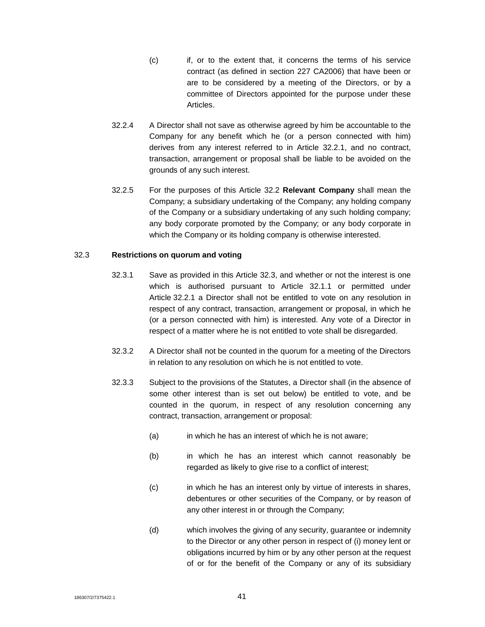- (c) if, or to the extent that, it concerns the terms of his service contract (as defined in section 227 CA2006) that have been or are to be considered by a meeting of the Directors, or by a committee of Directors appointed for the purpose under these Articles.
- 32.2.4 A Director shall not save as otherwise agreed by him be accountable to the Company for any benefit which he (or a person connected with him) derives from any interest referred to in Article 32.2.1, and no contract, transaction, arrangement or proposal shall be liable to be avoided on the grounds of any such interest.
- 32.2.5 For the purposes of this Article 32.2 **Relevant Company** shall mean the Company; a subsidiary undertaking of the Company; any holding company of the Company or a subsidiary undertaking of any such holding company; any body corporate promoted by the Company; or any body corporate in which the Company or its holding company is otherwise interested.

# 32.3 **Restrictions on quorum and voting**

- 32.3.1 Save as provided in this Article 32.3, and whether or not the interest is one which is authorised pursuant to Article 32.1.1 or permitted under Article 32.2.1 a Director shall not be entitled to vote on any resolution in respect of any contract, transaction, arrangement or proposal, in which he (or a person connected with him) is interested. Any vote of a Director in respect of a matter where he is not entitled to vote shall be disregarded.
- 32.3.2 A Director shall not be counted in the quorum for a meeting of the Directors in relation to any resolution on which he is not entitled to vote.
- 32.3.3 Subject to the provisions of the Statutes, a Director shall (in the absence of some other interest than is set out below) be entitled to vote, and be counted in the quorum, in respect of any resolution concerning any contract, transaction, arrangement or proposal:
	- (a) in which he has an interest of which he is not aware;
	- (b) in which he has an interest which cannot reasonably be regarded as likely to give rise to a conflict of interest;
	- (c) in which he has an interest only by virtue of interests in shares, debentures or other securities of the Company, or by reason of any other interest in or through the Company;
	- (d) which involves the giving of any security, guarantee or indemnity to the Director or any other person in respect of (i) money lent or obligations incurred by him or by any other person at the request of or for the benefit of the Company or any of its subsidiary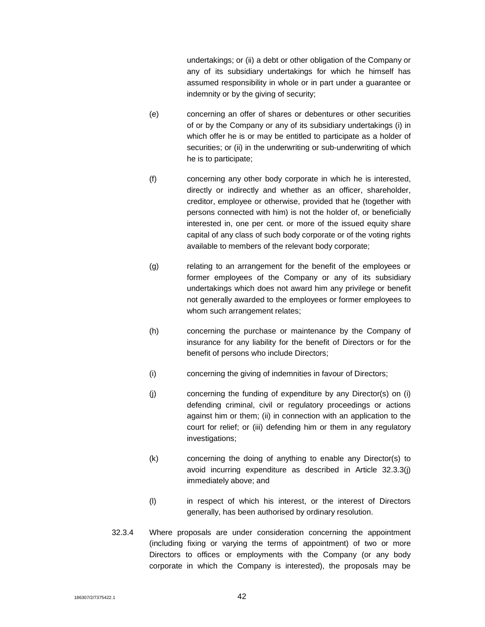undertakings; or (ii) a debt or other obligation of the Company or any of its subsidiary undertakings for which he himself has assumed responsibility in whole or in part under a guarantee or indemnity or by the giving of security;

- (e) concerning an offer of shares or debentures or other securities of or by the Company or any of its subsidiary undertakings (i) in which offer he is or may be entitled to participate as a holder of securities; or (ii) in the underwriting or sub-underwriting of which he is to participate;
- (f) concerning any other body corporate in which he is interested, directly or indirectly and whether as an officer, shareholder, creditor, employee or otherwise, provided that he (together with persons connected with him) is not the holder of, or beneficially interested in, one per cent. or more of the issued equity share capital of any class of such body corporate or of the voting rights available to members of the relevant body corporate;
- (g) relating to an arrangement for the benefit of the employees or former employees of the Company or any of its subsidiary undertakings which does not award him any privilege or benefit not generally awarded to the employees or former employees to whom such arrangement relates;
- (h) concerning the purchase or maintenance by the Company of insurance for any liability for the benefit of Directors or for the benefit of persons who include Directors;
- (i) concerning the giving of indemnities in favour of Directors;
- (j) concerning the funding of expenditure by any Director(s) on (i) defending criminal, civil or regulatory proceedings or actions against him or them; (ii) in connection with an application to the court for relief; or (iii) defending him or them in any regulatory investigations;
- (k) concerning the doing of anything to enable any Director(s) to avoid incurring expenditure as described in Article 32.3.3(j) immediately above; and
- (l) in respect of which his interest, or the interest of Directors generally, has been authorised by ordinary resolution.
- 32.3.4 Where proposals are under consideration concerning the appointment (including fixing or varying the terms of appointment) of two or more Directors to offices or employments with the Company (or any body corporate in which the Company is interested), the proposals may be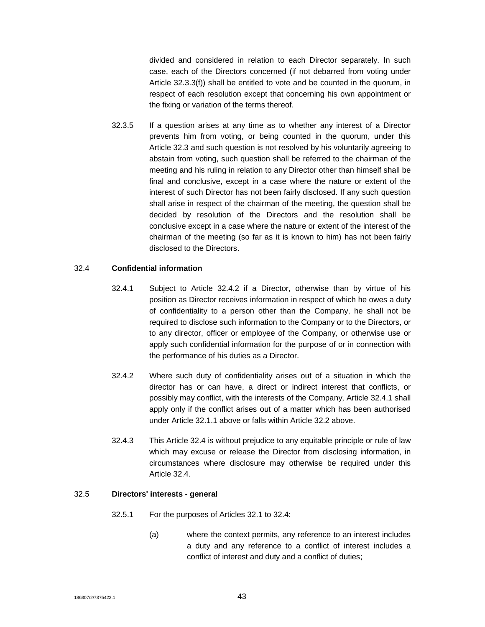divided and considered in relation to each Director separately. In such case, each of the Directors concerned (if not debarred from voting under Article 32.3.3(f)) shall be entitled to vote and be counted in the quorum, in respect of each resolution except that concerning his own appointment or the fixing or variation of the terms thereof.

32.3.5 If a question arises at any time as to whether any interest of a Director prevents him from voting, or being counted in the quorum, under this Article 32.3 and such question is not resolved by his voluntarily agreeing to abstain from voting, such question shall be referred to the chairman of the meeting and his ruling in relation to any Director other than himself shall be final and conclusive, except in a case where the nature or extent of the interest of such Director has not been fairly disclosed. If any such question shall arise in respect of the chairman of the meeting, the question shall be decided by resolution of the Directors and the resolution shall be conclusive except in a case where the nature or extent of the interest of the chairman of the meeting (so far as it is known to him) has not been fairly disclosed to the Directors.

#### 32.4 **Confidential information**

- 32.4.1 Subject to Article 32.4.2 if a Director, otherwise than by virtue of his position as Director receives information in respect of which he owes a duty of confidentiality to a person other than the Company, he shall not be required to disclose such information to the Company or to the Directors, or to any director, officer or employee of the Company, or otherwise use or apply such confidential information for the purpose of or in connection with the performance of his duties as a Director.
- 32.4.2 Where such duty of confidentiality arises out of a situation in which the director has or can have, a direct or indirect interest that conflicts, or possibly may conflict, with the interests of the Company, Article 32.4.1 shall apply only if the conflict arises out of a matter which has been authorised under Article 32.1.1 above or falls within Article 32.2 above.
- 32.4.3 This Article 32.4 is without prejudice to any equitable principle or rule of law which may excuse or release the Director from disclosing information, in circumstances where disclosure may otherwise be required under this Article 32.4.

#### 32.5 **Directors' interests - general**

- 32.5.1 For the purposes of Articles 32.1 to 32.4:
	- (a) where the context permits, any reference to an interest includes a duty and any reference to a conflict of interest includes a conflict of interest and duty and a conflict of duties;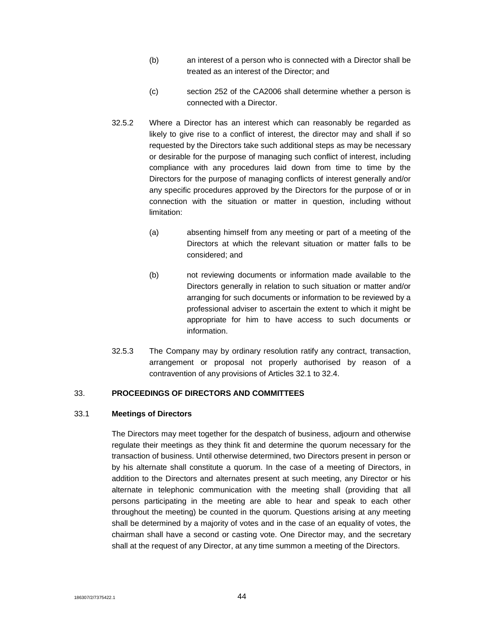- (b) an interest of a person who is connected with a Director shall be treated as an interest of the Director; and
- (c) section 252 of the CA2006 shall determine whether a person is connected with a Director.
- 32.5.2 Where a Director has an interest which can reasonably be regarded as likely to give rise to a conflict of interest, the director may and shall if so requested by the Directors take such additional steps as may be necessary or desirable for the purpose of managing such conflict of interest, including compliance with any procedures laid down from time to time by the Directors for the purpose of managing conflicts of interest generally and/or any specific procedures approved by the Directors for the purpose of or in connection with the situation or matter in question, including without limitation:
	- (a) absenting himself from any meeting or part of a meeting of the Directors at which the relevant situation or matter falls to be considered; and
	- (b) not reviewing documents or information made available to the Directors generally in relation to such situation or matter and/or arranging for such documents or information to be reviewed by a professional adviser to ascertain the extent to which it might be appropriate for him to have access to such documents or information.
- 32.5.3 The Company may by ordinary resolution ratify any contract, transaction, arrangement or proposal not properly authorised by reason of a contravention of any provisions of Articles 32.1 to 32.4.

#### 33. **PROCEEDINGS OF DIRECTORS AND COMMITTEES**

# 33.1 **Meetings of Directors**

The Directors may meet together for the despatch of business, adjourn and otherwise regulate their meetings as they think fit and determine the quorum necessary for the transaction of business. Until otherwise determined, two Directors present in person or by his alternate shall constitute a quorum. In the case of a meeting of Directors, in addition to the Directors and alternates present at such meeting, any Director or his alternate in telephonic communication with the meeting shall (providing that all persons participating in the meeting are able to hear and speak to each other throughout the meeting) be counted in the quorum. Questions arising at any meeting shall be determined by a majority of votes and in the case of an equality of votes, the chairman shall have a second or casting vote. One Director may, and the secretary shall at the request of any Director, at any time summon a meeting of the Directors.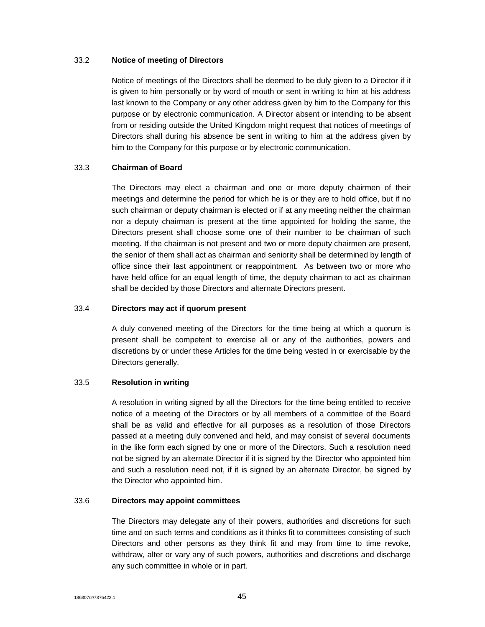#### 33.2 **Notice of meeting of Directors**

Notice of meetings of the Directors shall be deemed to be duly given to a Director if it is given to him personally or by word of mouth or sent in writing to him at his address last known to the Company or any other address given by him to the Company for this purpose or by electronic communication. A Director absent or intending to be absent from or residing outside the United Kingdom might request that notices of meetings of Directors shall during his absence be sent in writing to him at the address given by him to the Company for this purpose or by electronic communication.

#### 33.3 **Chairman of Board**

The Directors may elect a chairman and one or more deputy chairmen of their meetings and determine the period for which he is or they are to hold office, but if no such chairman or deputy chairman is elected or if at any meeting neither the chairman nor a deputy chairman is present at the time appointed for holding the same, the Directors present shall choose some one of their number to be chairman of such meeting. If the chairman is not present and two or more deputy chairmen are present, the senior of them shall act as chairman and seniority shall be determined by length of office since their last appointment or reappointment. As between two or more who have held office for an equal length of time, the deputy chairman to act as chairman shall be decided by those Directors and alternate Directors present.

#### 33.4 **Directors may act if quorum present**

A duly convened meeting of the Directors for the time being at which a quorum is present shall be competent to exercise all or any of the authorities, powers and discretions by or under these Articles for the time being vested in or exercisable by the Directors generally.

#### 33.5 **Resolution in writing**

A resolution in writing signed by all the Directors for the time being entitled to receive notice of a meeting of the Directors or by all members of a committee of the Board shall be as valid and effective for all purposes as a resolution of those Directors passed at a meeting duly convened and held, and may consist of several documents in the like form each signed by one or more of the Directors. Such a resolution need not be signed by an alternate Director if it is signed by the Director who appointed him and such a resolution need not, if it is signed by an alternate Director, be signed by the Director who appointed him.

## 33.6 **Directors may appoint committees**

The Directors may delegate any of their powers, authorities and discretions for such time and on such terms and conditions as it thinks fit to committees consisting of such Directors and other persons as they think fit and may from time to time revoke, withdraw, alter or vary any of such powers, authorities and discretions and discharge any such committee in whole or in part.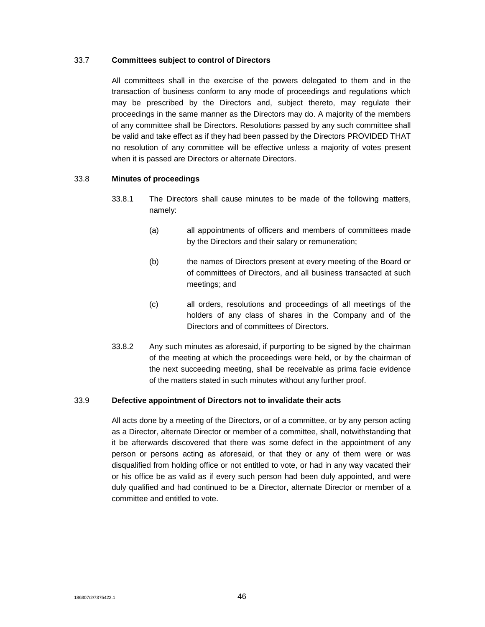## 33.7 **Committees subject to control of Directors**

All committees shall in the exercise of the powers delegated to them and in the transaction of business conform to any mode of proceedings and regulations which may be prescribed by the Directors and, subject thereto, may regulate their proceedings in the same manner as the Directors may do. A majority of the members of any committee shall be Directors. Resolutions passed by any such committee shall be valid and take effect as if they had been passed by the Directors PROVIDED THAT no resolution of any committee will be effective unless a majority of votes present when it is passed are Directors or alternate Directors.

# 33.8 **Minutes of proceedings**

- 33.8.1 The Directors shall cause minutes to be made of the following matters, namely:
	- (a) all appointments of officers and members of committees made by the Directors and their salary or remuneration;
	- (b) the names of Directors present at every meeting of the Board or of committees of Directors, and all business transacted at such meetings; and
	- (c) all orders, resolutions and proceedings of all meetings of the holders of any class of shares in the Company and of the Directors and of committees of Directors.
- 33.8.2 Any such minutes as aforesaid, if purporting to be signed by the chairman of the meeting at which the proceedings were held, or by the chairman of the next succeeding meeting, shall be receivable as prima facie evidence of the matters stated in such minutes without any further proof.

# 33.9 **Defective appointment of Directors not to invalidate their acts**

All acts done by a meeting of the Directors, or of a committee, or by any person acting as a Director, alternate Director or member of a committee, shall, notwithstanding that it be afterwards discovered that there was some defect in the appointment of any person or persons acting as aforesaid, or that they or any of them were or was disqualified from holding office or not entitled to vote, or had in any way vacated their or his office be as valid as if every such person had been duly appointed, and were duly qualified and had continued to be a Director, alternate Director or member of a committee and entitled to vote.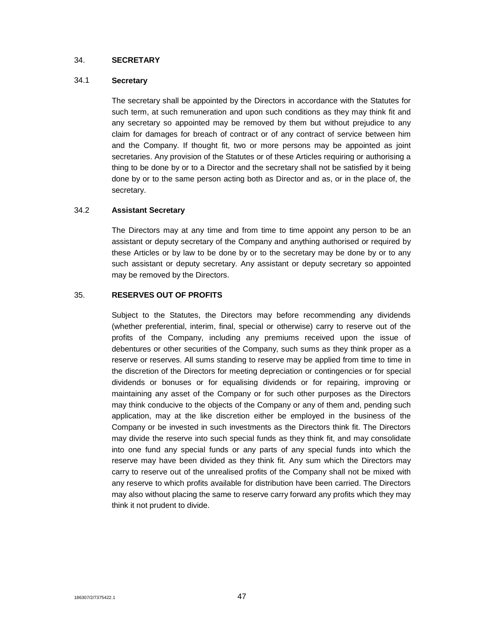## 34. **SECRETARY**

# 34.1 **Secretary**

The secretary shall be appointed by the Directors in accordance with the Statutes for such term, at such remuneration and upon such conditions as they may think fit and any secretary so appointed may be removed by them but without prejudice to any claim for damages for breach of contract or of any contract of service between him and the Company. If thought fit, two or more persons may be appointed as joint secretaries. Any provision of the Statutes or of these Articles requiring or authorising a thing to be done by or to a Director and the secretary shall not be satisfied by it being done by or to the same person acting both as Director and as, or in the place of, the secretary.

# 34.2 **Assistant Secretary**

The Directors may at any time and from time to time appoint any person to be an assistant or deputy secretary of the Company and anything authorised or required by these Articles or by law to be done by or to the secretary may be done by or to any such assistant or deputy secretary. Any assistant or deputy secretary so appointed may be removed by the Directors.

# 35. **RESERVES OUT OF PROFITS**

Subject to the Statutes, the Directors may before recommending any dividends (whether preferential, interim, final, special or otherwise) carry to reserve out of the profits of the Company, including any premiums received upon the issue of debentures or other securities of the Company, such sums as they think proper as a reserve or reserves. All sums standing to reserve may be applied from time to time in the discretion of the Directors for meeting depreciation or contingencies or for special dividends or bonuses or for equalising dividends or for repairing, improving or maintaining any asset of the Company or for such other purposes as the Directors may think conducive to the objects of the Company or any of them and, pending such application, may at the like discretion either be employed in the business of the Company or be invested in such investments as the Directors think fit. The Directors may divide the reserve into such special funds as they think fit, and may consolidate into one fund any special funds or any parts of any special funds into which the reserve may have been divided as they think fit. Any sum which the Directors may carry to reserve out of the unrealised profits of the Company shall not be mixed with any reserve to which profits available for distribution have been carried. The Directors may also without placing the same to reserve carry forward any profits which they may think it not prudent to divide.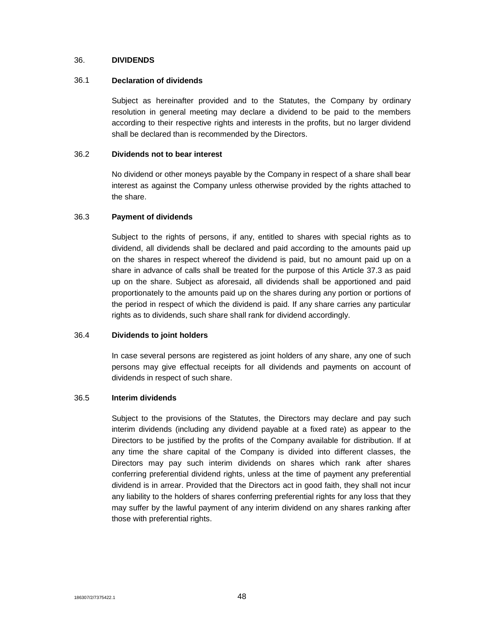#### 36. **DIVIDENDS**

#### 36.1 **Declaration of dividends**

Subject as hereinafter provided and to the Statutes, the Company by ordinary resolution in general meeting may declare a dividend to be paid to the members according to their respective rights and interests in the profits, but no larger dividend shall be declared than is recommended by the Directors.

## 36.2 **Dividends not to bear interest**

No dividend or other moneys payable by the Company in respect of a share shall bear interest as against the Company unless otherwise provided by the rights attached to the share.

#### 36.3 **Payment of dividends**

Subject to the rights of persons, if any, entitled to shares with special rights as to dividend, all dividends shall be declared and paid according to the amounts paid up on the shares in respect whereof the dividend is paid, but no amount paid up on a share in advance of calls shall be treated for the purpose of this Article 37.3 as paid up on the share. Subject as aforesaid, all dividends shall be apportioned and paid proportionately to the amounts paid up on the shares during any portion or portions of the period in respect of which the dividend is paid. If any share carries any particular rights as to dividends, such share shall rank for dividend accordingly.

#### 36.4 **Dividends to joint holders**

In case several persons are registered as joint holders of any share, any one of such persons may give effectual receipts for all dividends and payments on account of dividends in respect of such share.

#### 36.5 **Interim dividends**

Subject to the provisions of the Statutes, the Directors may declare and pay such interim dividends (including any dividend payable at a fixed rate) as appear to the Directors to be justified by the profits of the Company available for distribution. If at any time the share capital of the Company is divided into different classes, the Directors may pay such interim dividends on shares which rank after shares conferring preferential dividend rights, unless at the time of payment any preferential dividend is in arrear. Provided that the Directors act in good faith, they shall not incur any liability to the holders of shares conferring preferential rights for any loss that they may suffer by the lawful payment of any interim dividend on any shares ranking after those with preferential rights.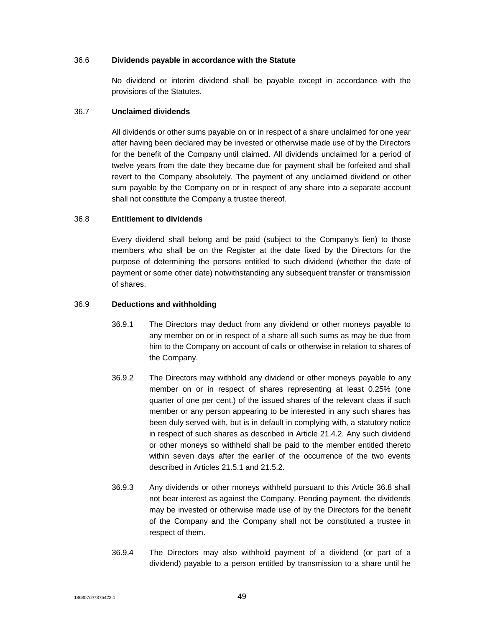#### 36.6 **Dividends payable in accordance with the Statute**

No dividend or interim dividend shall be payable except in accordance with the provisions of the Statutes.

#### 36.7 **Unclaimed dividends**

All dividends or other sums payable on or in respect of a share unclaimed for one year after having been declared may be invested or otherwise made use of by the Directors for the benefit of the Company until claimed. All dividends unclaimed for a period of twelve years from the date they became due for payment shall be forfeited and shall revert to the Company absolutely. The payment of any unclaimed dividend or other sum payable by the Company on or in respect of any share into a separate account shall not constitute the Company a trustee thereof.

#### 36.8 **Entitlement to dividends**

Every dividend shall belong and be paid (subject to the Company's lien) to those members who shall be on the Register at the date fixed by the Directors for the purpose of determining the persons entitled to such dividend (whether the date of payment or some other date) notwithstanding any subsequent transfer or transmission of shares.

#### 36.9 **Deductions and withholding**

- 36.9.1 The Directors may deduct from any dividend or other moneys payable to any member on or in respect of a share all such sums as may be due from him to the Company on account of calls or otherwise in relation to shares of the Company.
- 36.9.2 The Directors may withhold any dividend or other moneys payable to any member on or in respect of shares representing at least 0.25% (one quarter of one per cent.) of the issued shares of the relevant class if such member or any person appearing to be interested in any such shares has been duly served with, but is in default in complying with, a statutory notice in respect of such shares as described in Article 21.4.2. Any such dividend or other moneys so withheld shall be paid to the member entitled thereto within seven days after the earlier of the occurrence of the two events described in Articles 21.5.1 and 21.5.2.
- 36.9.3 Any dividends or other moneys withheld pursuant to this Article 36.8 shall not bear interest as against the Company. Pending payment, the dividends may be invested or otherwise made use of by the Directors for the benefit of the Company and the Company shall not be constituted a trustee in respect of them.
- 36.9.4 The Directors may also withhold payment of a dividend (or part of a dividend) payable to a person entitled by transmission to a share until he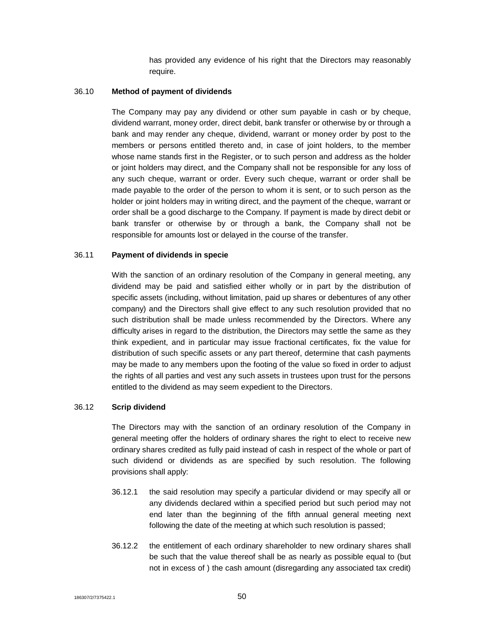has provided any evidence of his right that the Directors may reasonably require.

#### 36.10 **Method of payment of dividends**

The Company may pay any dividend or other sum payable in cash or by cheque, dividend warrant, money order, direct debit, bank transfer or otherwise by or through a bank and may render any cheque, dividend, warrant or money order by post to the members or persons entitled thereto and, in case of joint holders, to the member whose name stands first in the Register, or to such person and address as the holder or joint holders may direct, and the Company shall not be responsible for any loss of any such cheque, warrant or order. Every such cheque, warrant or order shall be made payable to the order of the person to whom it is sent, or to such person as the holder or joint holders may in writing direct, and the payment of the cheque, warrant or order shall be a good discharge to the Company. If payment is made by direct debit or bank transfer or otherwise by or through a bank, the Company shall not be responsible for amounts lost or delayed in the course of the transfer.

#### 36.11 **Payment of dividends in specie**

With the sanction of an ordinary resolution of the Company in general meeting, any dividend may be paid and satisfied either wholly or in part by the distribution of specific assets (including, without limitation, paid up shares or debentures of any other company) and the Directors shall give effect to any such resolution provided that no such distribution shall be made unless recommended by the Directors. Where any difficulty arises in regard to the distribution, the Directors may settle the same as they think expedient, and in particular may issue fractional certificates, fix the value for distribution of such specific assets or any part thereof, determine that cash payments may be made to any members upon the footing of the value so fixed in order to adjust the rights of all parties and vest any such assets in trustees upon trust for the persons entitled to the dividend as may seem expedient to the Directors.

#### 36.12 **Scrip dividend**

The Directors may with the sanction of an ordinary resolution of the Company in general meeting offer the holders of ordinary shares the right to elect to receive new ordinary shares credited as fully paid instead of cash in respect of the whole or part of such dividend or dividends as are specified by such resolution. The following provisions shall apply:

- 36.12.1 the said resolution may specify a particular dividend or may specify all or any dividends declared within a specified period but such period may not end later than the beginning of the fifth annual general meeting next following the date of the meeting at which such resolution is passed;
- 36.12.2 the entitlement of each ordinary shareholder to new ordinary shares shall be such that the value thereof shall be as nearly as possible equal to (but not in excess of ) the cash amount (disregarding any associated tax credit)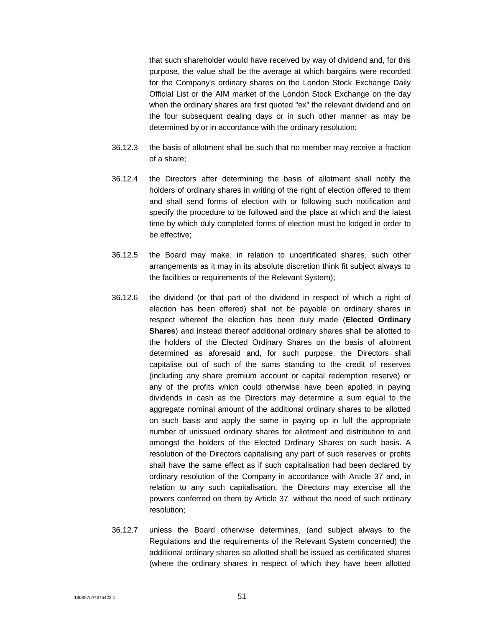that such shareholder would have received by way of dividend and, for this purpose, the value shall be the average at which bargains were recorded for the Company's ordinary shares on the London Stock Exchange Daily Official List or the AIM market of the London Stock Exchange on the day when the ordinary shares are first quoted "ex" the relevant dividend and on the four subsequent dealing days or in such other manner as may be determined by or in accordance with the ordinary resolution;

- 36.12.3 the basis of allotment shall be such that no member may receive a fraction of a share;
- 36.12.4 the Directors after determining the basis of allotment shall notify the holders of ordinary shares in writing of the right of election offered to them and shall send forms of election with or following such notification and specify the procedure to be followed and the place at which and the latest time by which duly completed forms of election must be lodged in order to be effective;
- 36.12.5 the Board may make, in relation to uncertificated shares, such other arrangements as it may in its absolute discretion think fit subject always to the facilities or requirements of the Relevant System);
- 36.12.6 the dividend (or that part of the dividend in respect of which a right of election has been offered) shall not be payable on ordinary shares in respect whereof the election has been duly made (**Elected Ordinary Shares**) and instead thereof additional ordinary shares shall be allotted to the holders of the Elected Ordinary Shares on the basis of allotment determined as aforesaid and, for such purpose, the Directors shall capitalise out of such of the sums standing to the credit of reserves (including any share premium account or capital redemption reserve) or any of the profits which could otherwise have been applied in paying dividends in cash as the Directors may determine a sum equal to the aggregate nominal amount of the additional ordinary shares to be allotted on such basis and apply the same in paying up in full the appropriate number of unissued ordinary shares for allotment and distribution to and amongst the holders of the Elected Ordinary Shares on such basis. A resolution of the Directors capitalising any part of such reserves or profits shall have the same effect as if such capitalisation had been declared by ordinary resolution of the Company in accordance with Article 37 and, in relation to any such capitalisation, the Directors may exercise all the powers conferred on them by Article 37 without the need of such ordinary resolution;
- 36.12.7 unless the Board otherwise determines, (and subject always to the Regulations and the requirements of the Relevant System concerned) the additional ordinary shares so allotted shall be issued as certificated shares (where the ordinary shares in respect of which they have been allotted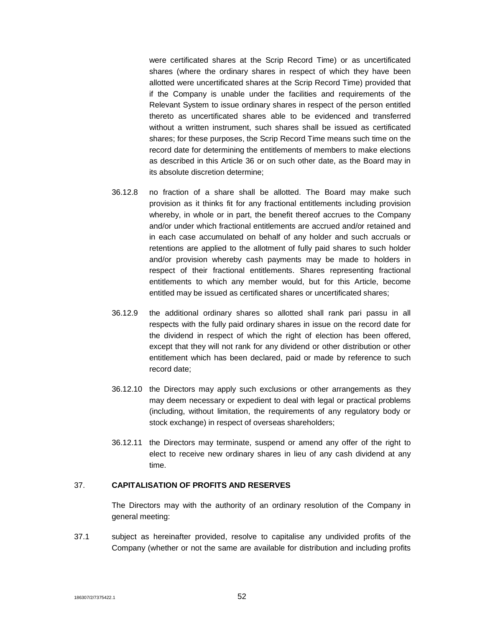were certificated shares at the Scrip Record Time) or as uncertificated shares (where the ordinary shares in respect of which they have been allotted were uncertificated shares at the Scrip Record Time) provided that if the Company is unable under the facilities and requirements of the Relevant System to issue ordinary shares in respect of the person entitled thereto as uncertificated shares able to be evidenced and transferred without a written instrument, such shares shall be issued as certificated shares; for these purposes, the Scrip Record Time means such time on the record date for determining the entitlements of members to make elections as described in this Article 36 or on such other date, as the Board may in its absolute discretion determine;

- 36.12.8 no fraction of a share shall be allotted. The Board may make such provision as it thinks fit for any fractional entitlements including provision whereby, in whole or in part, the benefit thereof accrues to the Company and/or under which fractional entitlements are accrued and/or retained and in each case accumulated on behalf of any holder and such accruals or retentions are applied to the allotment of fully paid shares to such holder and/or provision whereby cash payments may be made to holders in respect of their fractional entitlements. Shares representing fractional entitlements to which any member would, but for this Article, become entitled may be issued as certificated shares or uncertificated shares;
- 36.12.9 the additional ordinary shares so allotted shall rank pari passu in all respects with the fully paid ordinary shares in issue on the record date for the dividend in respect of which the right of election has been offered, except that they will not rank for any dividend or other distribution or other entitlement which has been declared, paid or made by reference to such record date;
- 36.12.10 the Directors may apply such exclusions or other arrangements as they may deem necessary or expedient to deal with legal or practical problems (including, without limitation, the requirements of any regulatory body or stock exchange) in respect of overseas shareholders;
- 36.12.11 the Directors may terminate, suspend or amend any offer of the right to elect to receive new ordinary shares in lieu of any cash dividend at any time.

#### 37. **CAPITALISATION OF PROFITS AND RESERVES**

The Directors may with the authority of an ordinary resolution of the Company in general meeting:

37.1 subject as hereinafter provided, resolve to capitalise any undivided profits of the Company (whether or not the same are available for distribution and including profits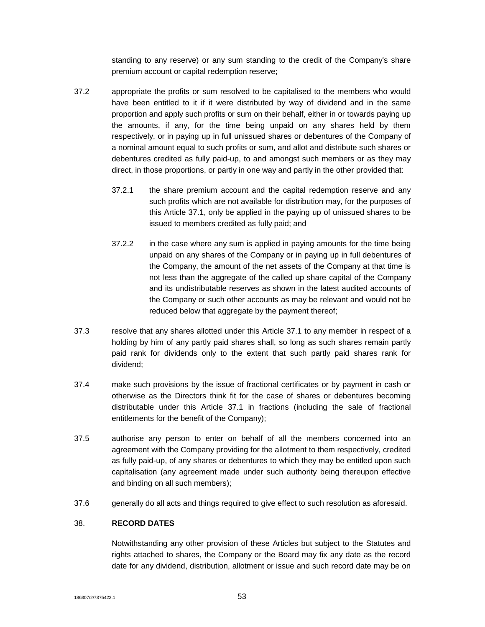standing to any reserve) or any sum standing to the credit of the Company's share premium account or capital redemption reserve;

- 37.2 appropriate the profits or sum resolved to be capitalised to the members who would have been entitled to it if it were distributed by way of dividend and in the same proportion and apply such profits or sum on their behalf, either in or towards paying up the amounts, if any, for the time being unpaid on any shares held by them respectively, or in paying up in full unissued shares or debentures of the Company of a nominal amount equal to such profits or sum, and allot and distribute such shares or debentures credited as fully paid-up, to and amongst such members or as they may direct, in those proportions, or partly in one way and partly in the other provided that:
	- 37.2.1 the share premium account and the capital redemption reserve and any such profits which are not available for distribution may, for the purposes of this Article 37.1, only be applied in the paying up of unissued shares to be issued to members credited as fully paid; and
	- 37.2.2 in the case where any sum is applied in paying amounts for the time being unpaid on any shares of the Company or in paying up in full debentures of the Company, the amount of the net assets of the Company at that time is not less than the aggregate of the called up share capital of the Company and its undistributable reserves as shown in the latest audited accounts of the Company or such other accounts as may be relevant and would not be reduced below that aggregate by the payment thereof;
- 37.3 resolve that any shares allotted under this Article 37.1 to any member in respect of a holding by him of any partly paid shares shall, so long as such shares remain partly paid rank for dividends only to the extent that such partly paid shares rank for dividend;
- 37.4 make such provisions by the issue of fractional certificates or by payment in cash or otherwise as the Directors think fit for the case of shares or debentures becoming distributable under this Article 37.1 in fractions (including the sale of fractional entitlements for the benefit of the Company);
- 37.5 authorise any person to enter on behalf of all the members concerned into an agreement with the Company providing for the allotment to them respectively, credited as fully paid-up, of any shares or debentures to which they may be entitled upon such capitalisation (any agreement made under such authority being thereupon effective and binding on all such members);
- 37.6 generally do all acts and things required to give effect to such resolution as aforesaid.

# 38. **RECORD DATES**

Notwithstanding any other provision of these Articles but subject to the Statutes and rights attached to shares, the Company or the Board may fix any date as the record date for any dividend, distribution, allotment or issue and such record date may be on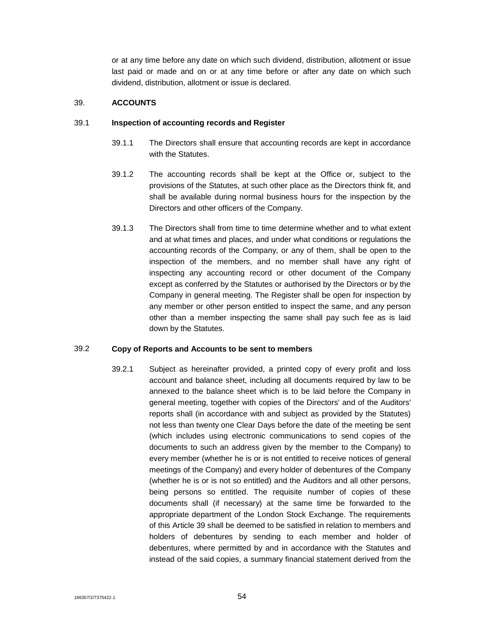or at any time before any date on which such dividend, distribution, allotment or issue last paid or made and on or at any time before or after any date on which such dividend, distribution, allotment or issue is declared.

# 39. **ACCOUNTS**

## 39.1 **Inspection of accounting records and Register**

- 39.1.1 The Directors shall ensure that accounting records are kept in accordance with the Statutes.
- 39.1.2 The accounting records shall be kept at the Office or, subject to the provisions of the Statutes, at such other place as the Directors think fit, and shall be available during normal business hours for the inspection by the Directors and other officers of the Company.
- 39.1.3 The Directors shall from time to time determine whether and to what extent and at what times and places, and under what conditions or regulations the accounting records of the Company, or any of them, shall be open to the inspection of the members, and no member shall have any right of inspecting any accounting record or other document of the Company except as conferred by the Statutes or authorised by the Directors or by the Company in general meeting. The Register shall be open for inspection by any member or other person entitled to inspect the same, and any person other than a member inspecting the same shall pay such fee as is laid down by the Statutes.

# 39.2 **Copy of Reports and Accounts to be sent to members**

39.2.1 Subject as hereinafter provided, a printed copy of every profit and loss account and balance sheet, including all documents required by law to be annexed to the balance sheet which is to be laid before the Company in general meeting, together with copies of the Directors' and of the Auditors' reports shall (in accordance with and subject as provided by the Statutes) not less than twenty one Clear Days before the date of the meeting be sent (which includes using electronic communications to send copies of the documents to such an address given by the member to the Company) to every member (whether he is or is not entitled to receive notices of general meetings of the Company) and every holder of debentures of the Company (whether he is or is not so entitled) and the Auditors and all other persons, being persons so entitled. The requisite number of copies of these documents shall (if necessary) at the same time be forwarded to the appropriate department of the London Stock Exchange. The requirements of this Article 39 shall be deemed to be satisfied in relation to members and holders of debentures by sending to each member and holder of debentures, where permitted by and in accordance with the Statutes and instead of the said copies, a summary financial statement derived from the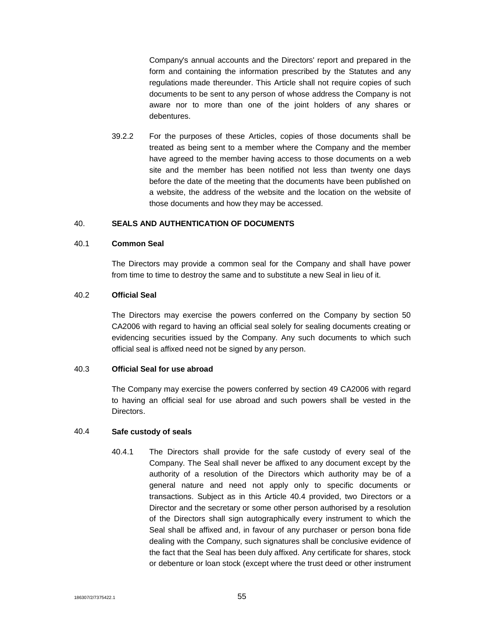Company's annual accounts and the Directors' report and prepared in the form and containing the information prescribed by the Statutes and any regulations made thereunder. This Article shall not require copies of such documents to be sent to any person of whose address the Company is not aware nor to more than one of the joint holders of any shares or debentures.

39.2.2 For the purposes of these Articles, copies of those documents shall be treated as being sent to a member where the Company and the member have agreed to the member having access to those documents on a web site and the member has been notified not less than twenty one days before the date of the meeting that the documents have been published on a website, the address of the website and the location on the website of those documents and how they may be accessed.

#### 40. **SEALS AND AUTHENTICATION OF DOCUMENTS**

# 40.1 **Common Seal**

The Directors may provide a common seal for the Company and shall have power from time to time to destroy the same and to substitute a new Seal in lieu of it.

#### 40.2 **Official Seal**

The Directors may exercise the powers conferred on the Company by section 50 CA2006 with regard to having an official seal solely for sealing documents creating or evidencing securities issued by the Company. Any such documents to which such official seal is affixed need not be signed by any person.

#### 40.3 **Official Seal for use abroad**

The Company may exercise the powers conferred by section 49 CA2006 with regard to having an official seal for use abroad and such powers shall be vested in the Directors.

#### 40.4 **Safe custody of seals**

40.4.1 The Directors shall provide for the safe custody of every seal of the Company. The Seal shall never be affixed to any document except by the authority of a resolution of the Directors which authority may be of a general nature and need not apply only to specific documents or transactions. Subject as in this Article 40.4 provided, two Directors or a Director and the secretary or some other person authorised by a resolution of the Directors shall sign autographically every instrument to which the Seal shall be affixed and, in favour of any purchaser or person bona fide dealing with the Company, such signatures shall be conclusive evidence of the fact that the Seal has been duly affixed. Any certificate for shares, stock or debenture or loan stock (except where the trust deed or other instrument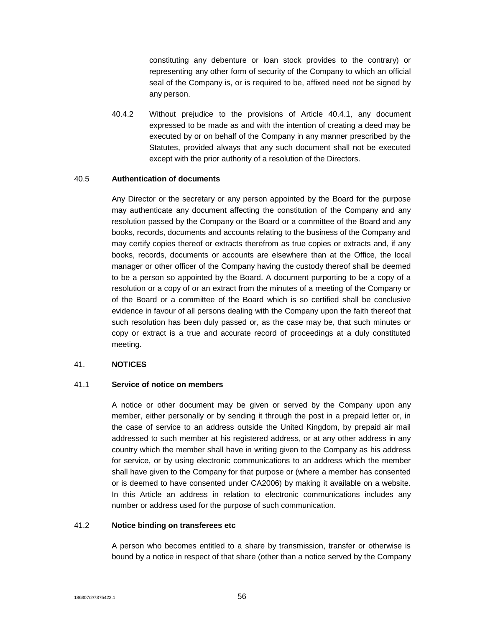constituting any debenture or loan stock provides to the contrary) or representing any other form of security of the Company to which an official seal of the Company is, or is required to be, affixed need not be signed by any person.

40.4.2 Without prejudice to the provisions of Article 40.4.1, any document expressed to be made as and with the intention of creating a deed may be executed by or on behalf of the Company in any manner prescribed by the Statutes, provided always that any such document shall not be executed except with the prior authority of a resolution of the Directors.

## 40.5 **Authentication of documents**

Any Director or the secretary or any person appointed by the Board for the purpose may authenticate any document affecting the constitution of the Company and any resolution passed by the Company or the Board or a committee of the Board and any books, records, documents and accounts relating to the business of the Company and may certify copies thereof or extracts therefrom as true copies or extracts and, if any books, records, documents or accounts are elsewhere than at the Office, the local manager or other officer of the Company having the custody thereof shall be deemed to be a person so appointed by the Board. A document purporting to be a copy of a resolution or a copy of or an extract from the minutes of a meeting of the Company or of the Board or a committee of the Board which is so certified shall be conclusive evidence in favour of all persons dealing with the Company upon the faith thereof that such resolution has been duly passed or, as the case may be, that such minutes or copy or extract is a true and accurate record of proceedings at a duly constituted meeting.

#### 41. **NOTICES**

#### 41.1 **Service of notice on members**

A notice or other document may be given or served by the Company upon any member, either personally or by sending it through the post in a prepaid letter or, in the case of service to an address outside the United Kingdom, by prepaid air mail addressed to such member at his registered address, or at any other address in any country which the member shall have in writing given to the Company as his address for service, or by using electronic communications to an address which the member shall have given to the Company for that purpose or (where a member has consented or is deemed to have consented under CA2006) by making it available on a website. In this Article an address in relation to electronic communications includes any number or address used for the purpose of such communication.

#### 41.2 **Notice binding on transferees etc**

A person who becomes entitled to a share by transmission, transfer or otherwise is bound by a notice in respect of that share (other than a notice served by the Company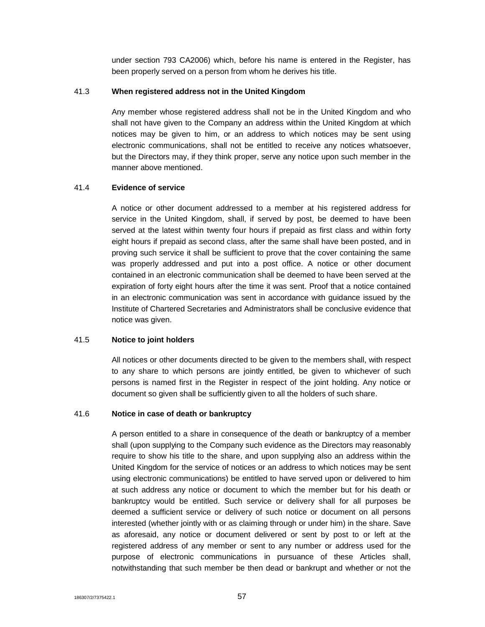under section 793 CA2006) which, before his name is entered in the Register, has been properly served on a person from whom he derives his title.

## 41.3 **When registered address not in the United Kingdom**

Any member whose registered address shall not be in the United Kingdom and who shall not have given to the Company an address within the United Kingdom at which notices may be given to him, or an address to which notices may be sent using electronic communications, shall not be entitled to receive any notices whatsoever, but the Directors may, if they think proper, serve any notice upon such member in the manner above mentioned.

#### 41.4 **Evidence of service**

A notice or other document addressed to a member at his registered address for service in the United Kingdom, shall, if served by post, be deemed to have been served at the latest within twenty four hours if prepaid as first class and within forty eight hours if prepaid as second class, after the same shall have been posted, and in proving such service it shall be sufficient to prove that the cover containing the same was properly addressed and put into a post office. A notice or other document contained in an electronic communication shall be deemed to have been served at the expiration of forty eight hours after the time it was sent. Proof that a notice contained in an electronic communication was sent in accordance with guidance issued by the Institute of Chartered Secretaries and Administrators shall be conclusive evidence that notice was given.

# 41.5 **Notice to joint holders**

All notices or other documents directed to be given to the members shall, with respect to any share to which persons are jointly entitled, be given to whichever of such persons is named first in the Register in respect of the joint holding. Any notice or document so given shall be sufficiently given to all the holders of such share.

#### 41.6 **Notice in case of death or bankruptcy**

A person entitled to a share in consequence of the death or bankruptcy of a member shall (upon supplying to the Company such evidence as the Directors may reasonably require to show his title to the share, and upon supplying also an address within the United Kingdom for the service of notices or an address to which notices may be sent using electronic communications) be entitled to have served upon or delivered to him at such address any notice or document to which the member but for his death or bankruptcy would be entitled. Such service or delivery shall for all purposes be deemed a sufficient service or delivery of such notice or document on all persons interested (whether jointly with or as claiming through or under him) in the share. Save as aforesaid, any notice or document delivered or sent by post to or left at the registered address of any member or sent to any number or address used for the purpose of electronic communications in pursuance of these Articles shall, notwithstanding that such member be then dead or bankrupt and whether or not the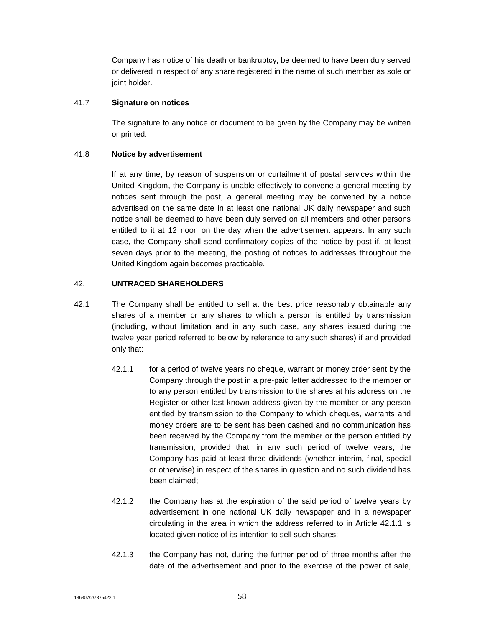Company has notice of his death or bankruptcy, be deemed to have been duly served or delivered in respect of any share registered in the name of such member as sole or joint holder.

# 41.7 **Signature on notices**

The signature to any notice or document to be given by the Company may be written or printed.

# 41.8 **Notice by advertisement**

If at any time, by reason of suspension or curtailment of postal services within the United Kingdom, the Company is unable effectively to convene a general meeting by notices sent through the post, a general meeting may be convened by a notice advertised on the same date in at least one national UK daily newspaper and such notice shall be deemed to have been duly served on all members and other persons entitled to it at 12 noon on the day when the advertisement appears. In any such case, the Company shall send confirmatory copies of the notice by post if, at least seven days prior to the meeting, the posting of notices to addresses throughout the United Kingdom again becomes practicable.

# 42. **UNTRACED SHAREHOLDERS**

- 42.1 The Company shall be entitled to sell at the best price reasonably obtainable any shares of a member or any shares to which a person is entitled by transmission (including, without limitation and in any such case, any shares issued during the twelve year period referred to below by reference to any such shares) if and provided only that:
	- 42.1.1 for a period of twelve years no cheque, warrant or money order sent by the Company through the post in a pre-paid letter addressed to the member or to any person entitled by transmission to the shares at his address on the Register or other last known address given by the member or any person entitled by transmission to the Company to which cheques, warrants and money orders are to be sent has been cashed and no communication has been received by the Company from the member or the person entitled by transmission, provided that, in any such period of twelve years, the Company has paid at least three dividends (whether interim, final, special or otherwise) in respect of the shares in question and no such dividend has been claimed;
	- 42.1.2 the Company has at the expiration of the said period of twelve years by advertisement in one national UK daily newspaper and in a newspaper circulating in the area in which the address referred to in Article 42.1.1 is located given notice of its intention to sell such shares;
	- 42.1.3 the Company has not, during the further period of three months after the date of the advertisement and prior to the exercise of the power of sale,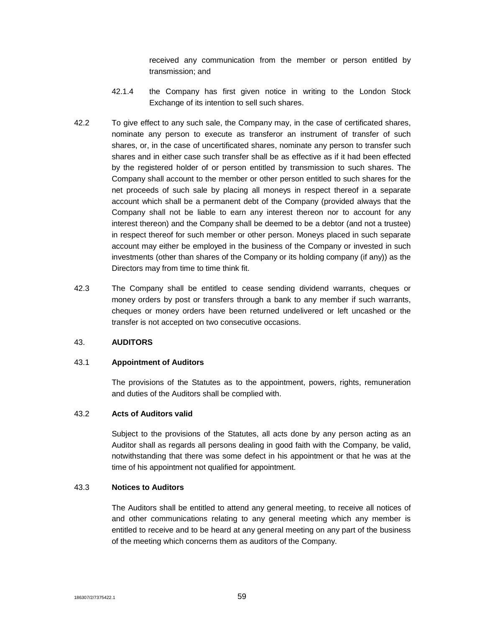received any communication from the member or person entitled by transmission; and

- 42.1.4 the Company has first given notice in writing to the London Stock Exchange of its intention to sell such shares.
- 42.2 To give effect to any such sale, the Company may, in the case of certificated shares, nominate any person to execute as transferor an instrument of transfer of such shares, or, in the case of uncertificated shares, nominate any person to transfer such shares and in either case such transfer shall be as effective as if it had been effected by the registered holder of or person entitled by transmission to such shares. The Company shall account to the member or other person entitled to such shares for the net proceeds of such sale by placing all moneys in respect thereof in a separate account which shall be a permanent debt of the Company (provided always that the Company shall not be liable to earn any interest thereon nor to account for any interest thereon) and the Company shall be deemed to be a debtor (and not a trustee) in respect thereof for such member or other person. Moneys placed in such separate account may either be employed in the business of the Company or invested in such investments (other than shares of the Company or its holding company (if any)) as the Directors may from time to time think fit.
- 42.3 The Company shall be entitled to cease sending dividend warrants, cheques or money orders by post or transfers through a bank to any member if such warrants, cheques or money orders have been returned undelivered or left uncashed or the transfer is not accepted on two consecutive occasions.

#### 43. **AUDITORS**

#### 43.1 **Appointment of Auditors**

The provisions of the Statutes as to the appointment, powers, rights, remuneration and duties of the Auditors shall be complied with.

# 43.2 **Acts of Auditors valid**

Subject to the provisions of the Statutes, all acts done by any person acting as an Auditor shall as regards all persons dealing in good faith with the Company, be valid, notwithstanding that there was some defect in his appointment or that he was at the time of his appointment not qualified for appointment.

# 43.3 **Notices to Auditors**

The Auditors shall be entitled to attend any general meeting, to receive all notices of and other communications relating to any general meeting which any member is entitled to receive and to be heard at any general meeting on any part of the business of the meeting which concerns them as auditors of the Company.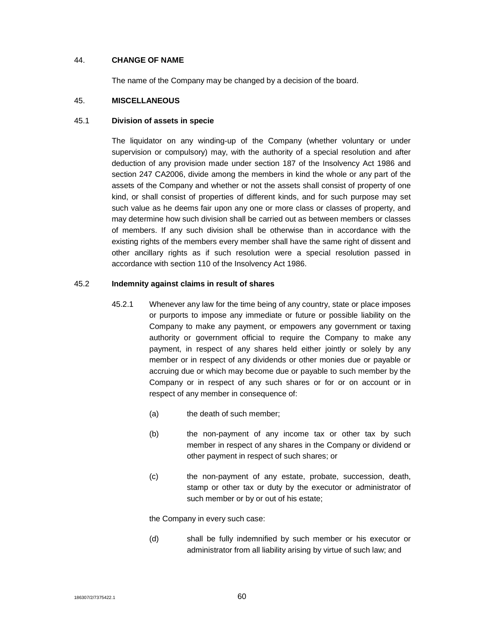#### 44. **CHANGE OF NAME**

The name of the Company may be changed by a decision of the board.

#### 45. **MISCELLANEOUS**

#### 45.1 **Division of assets in specie**

The liquidator on any winding-up of the Company (whether voluntary or under supervision or compulsory) may, with the authority of a special resolution and after deduction of any provision made under section 187 of the Insolvency Act 1986 and section 247 CA2006, divide among the members in kind the whole or any part of the assets of the Company and whether or not the assets shall consist of property of one kind, or shall consist of properties of different kinds, and for such purpose may set such value as he deems fair upon any one or more class or classes of property, and may determine how such division shall be carried out as between members or classes of members. If any such division shall be otherwise than in accordance with the existing rights of the members every member shall have the same right of dissent and other ancillary rights as if such resolution were a special resolution passed in accordance with section 110 of the Insolvency Act 1986.

#### 45.2 **Indemnity against claims in result of shares**

- 45.2.1 Whenever any law for the time being of any country, state or place imposes or purports to impose any immediate or future or possible liability on the Company to make any payment, or empowers any government or taxing authority or government official to require the Company to make any payment, in respect of any shares held either jointly or solely by any member or in respect of any dividends or other monies due or payable or accruing due or which may become due or payable to such member by the Company or in respect of any such shares or for or on account or in respect of any member in consequence of:
	- (a) the death of such member;
	- (b) the non-payment of any income tax or other tax by such member in respect of any shares in the Company or dividend or other payment in respect of such shares; or
	- (c) the non-payment of any estate, probate, succession, death, stamp or other tax or duty by the executor or administrator of such member or by or out of his estate;

the Company in every such case:

(d) shall be fully indemnified by such member or his executor or administrator from all liability arising by virtue of such law; and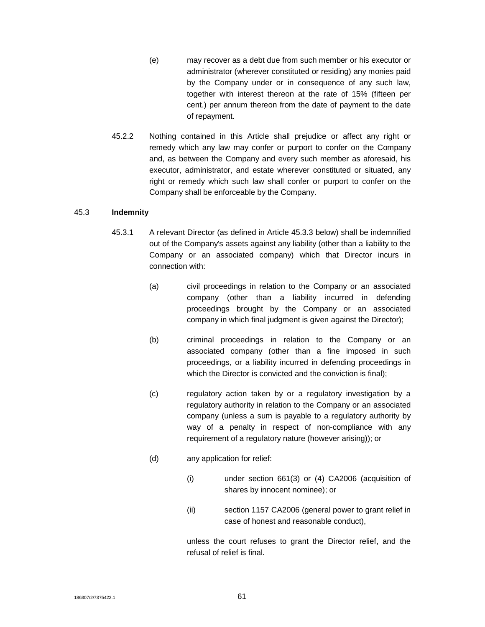- (e) may recover as a debt due from such member or his executor or administrator (wherever constituted or residing) any monies paid by the Company under or in consequence of any such law, together with interest thereon at the rate of 15% (fifteen per cent.) per annum thereon from the date of payment to the date of repayment.
- 45.2.2 Nothing contained in this Article shall prejudice or affect any right or remedy which any law may confer or purport to confer on the Company and, as between the Company and every such member as aforesaid, his executor, administrator, and estate wherever constituted or situated, any right or remedy which such law shall confer or purport to confer on the Company shall be enforceable by the Company.

# 45.3 **Indemnity**

- 45.3.1 A relevant Director (as defined in Article 45.3.3 below) shall be indemnified out of the Company's assets against any liability (other than a liability to the Company or an associated company) which that Director incurs in connection with:
	- (a) civil proceedings in relation to the Company or an associated company (other than a liability incurred in defending proceedings brought by the Company or an associated company in which final judgment is given against the Director);
	- (b) criminal proceedings in relation to the Company or an associated company (other than a fine imposed in such proceedings, or a liability incurred in defending proceedings in which the Director is convicted and the conviction is final);
	- (c) regulatory action taken by or a regulatory investigation by a regulatory authority in relation to the Company or an associated company (unless a sum is payable to a regulatory authority by way of a penalty in respect of non-compliance with any requirement of a regulatory nature (however arising)); or
	- (d) any application for relief:
		- (i) under section 661(3) or (4) CA2006 (acquisition of shares by innocent nominee); or
		- (ii) section 1157 CA2006 (general power to grant relief in case of honest and reasonable conduct),

unless the court refuses to grant the Director relief, and the refusal of relief is final.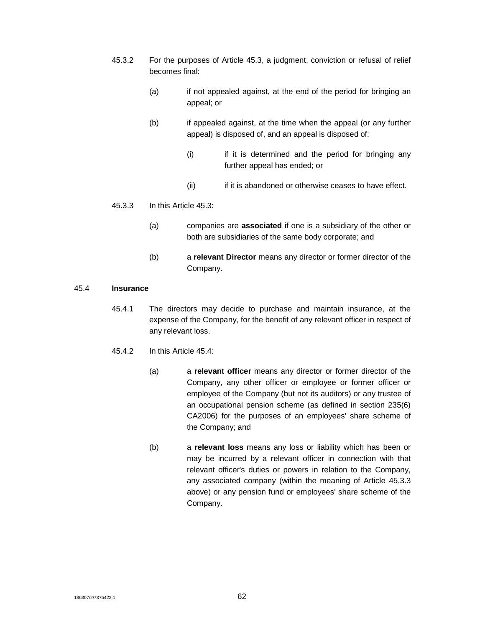- 45.3.2 For the purposes of Article 45.3, a judgment, conviction or refusal of relief becomes final:
	- (a) if not appealed against, at the end of the period for bringing an appeal; or
	- (b) if appealed against, at the time when the appeal (or any further appeal) is disposed of, and an appeal is disposed of:
		- (i) if it is determined and the period for bringing any further appeal has ended; or
		- (ii) if it is abandoned or otherwise ceases to have effect.

#### 45.3.3 In this Article 45.3:

- (a) companies are **associated** if one is a subsidiary of the other or both are subsidiaries of the same body corporate; and
- (b) a **relevant Director** means any director or former director of the Company.

#### 45.4 **Insurance**

- 45.4.1 The directors may decide to purchase and maintain insurance, at the expense of the Company, for the benefit of any relevant officer in respect of any relevant loss.
- 45.4.2 In this Article 45.4:
	- (a) a **relevant officer** means any director or former director of the Company, any other officer or employee or former officer or employee of the Company (but not its auditors) or any trustee of an occupational pension scheme (as defined in section 235(6) CA2006) for the purposes of an employees' share scheme of the Company; and
	- (b) a **relevant loss** means any loss or liability which has been or may be incurred by a relevant officer in connection with that relevant officer's duties or powers in relation to the Company, any associated company (within the meaning of Article 45.3.3 above) or any pension fund or employees' share scheme of the Company.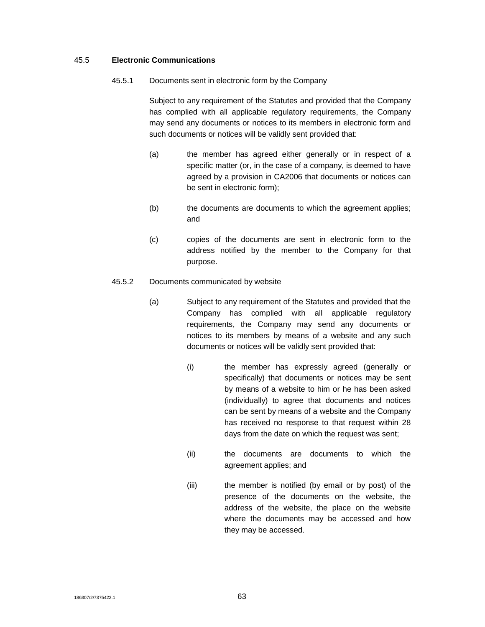#### 45.5 **Electronic Communications**

45.5.1 Documents sent in electronic form by the Company

Subject to any requirement of the Statutes and provided that the Company has complied with all applicable regulatory requirements, the Company may send any documents or notices to its members in electronic form and such documents or notices will be validly sent provided that:

- (a) the member has agreed either generally or in respect of a specific matter (or, in the case of a company, is deemed to have agreed by a provision in CA2006 that documents or notices can be sent in electronic form);
- (b) the documents are documents to which the agreement applies; and
- (c) copies of the documents are sent in electronic form to the address notified by the member to the Company for that purpose.
- 45.5.2 Documents communicated by website
	- (a) Subject to any requirement of the Statutes and provided that the Company has complied with all applicable regulatory requirements, the Company may send any documents or notices to its members by means of a website and any such documents or notices will be validly sent provided that:
		- (i) the member has expressly agreed (generally or specifically) that documents or notices may be sent by means of a website to him or he has been asked (individually) to agree that documents and notices can be sent by means of a website and the Company has received no response to that request within 28 days from the date on which the request was sent;
		- (ii) the documents are documents to which the agreement applies; and
		- (iii) the member is notified (by email or by post) of the presence of the documents on the website, the address of the website, the place on the website where the documents may be accessed and how they may be accessed.